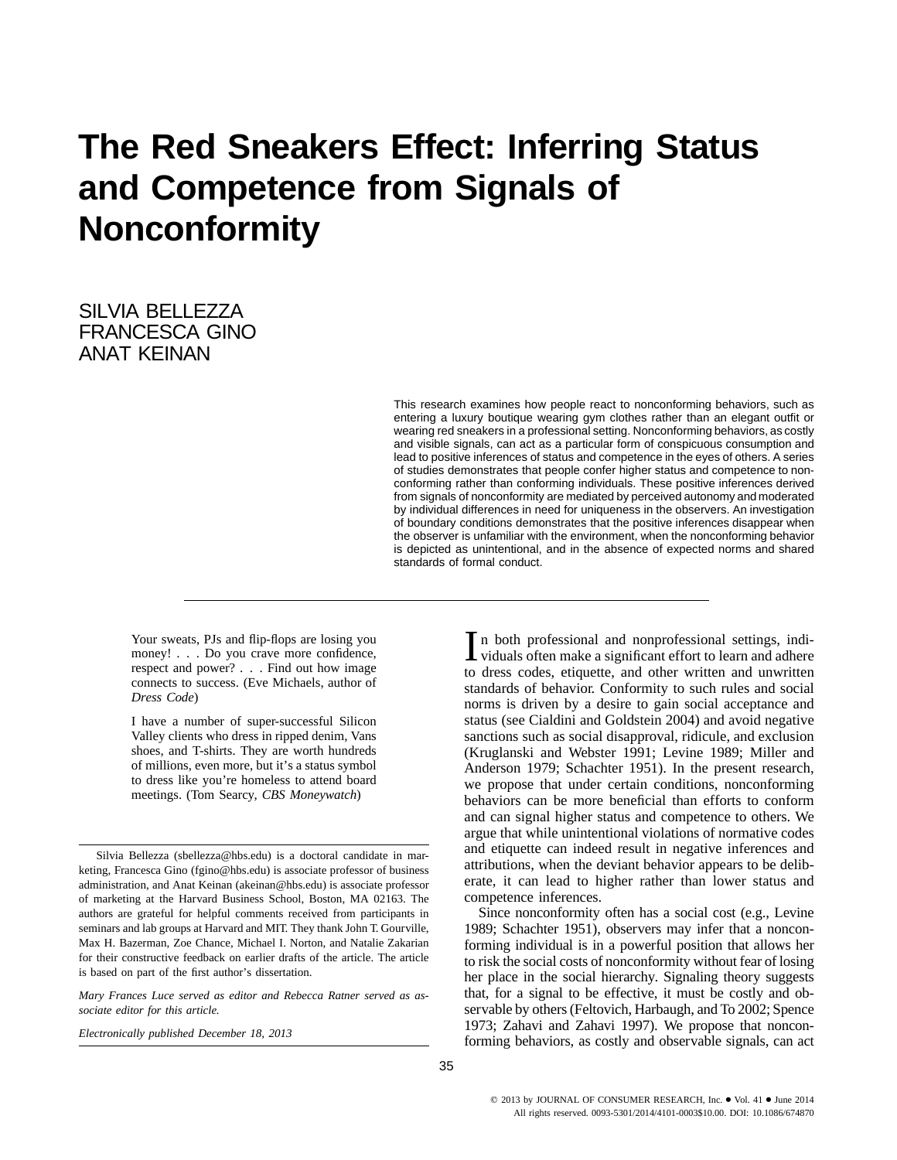# **The Red Sneakers Effect: Inferring Status and Competence from Signals of Nonconformity**

SILVIA BELLEZZA FRANCESCA GINO ANAT KEINAN

> This research examines how people react to nonconforming behaviors, such as entering a luxury boutique wearing gym clothes rather than an elegant outfit or wearing red sneakers in a professional setting. Nonconforming behaviors, as costly and visible signals, can act as a particular form of conspicuous consumption and lead to positive inferences of status and competence in the eyes of others. A series of studies demonstrates that people confer higher status and competence to nonconforming rather than conforming individuals. These positive inferences derived from signals of nonconformity are mediated by perceived autonomy and moderated by individual differences in need for uniqueness in the observers. An investigation of boundary conditions demonstrates that the positive inferences disappear when the observer is unfamiliar with the environment, when the nonconforming behavior is depicted as unintentional, and in the absence of expected norms and shared standards of formal conduct.

Your sweats, PJs and flip-flops are losing you money! . . . Do you crave more confidence, respect and power? . . . Find out how image connects to success. (Eve Michaels, author of *Dress Code*)

I have a number of super-successful Silicon Valley clients who dress in ripped denim, Vans shoes, and T-shirts. They are worth hundreds of millions, even more, but it's a status symbol to dress like you're homeless to attend board meetings. (Tom Searcy, *CBS Moneywatch*)

Silvia Bellezza [\(sbellezza@hbs.edu\)](mailto:sbellezza@hbs.edu) is a doctoral candidate in marketing, Francesca Gino [\(fgino@hbs.edu\)](mailto:fgino@hbs.edu) is associate professor of business administration, and Anat Keinan [\(akeinan@hbs.edu\)](mailto:akeinan@hbs.edu) is associate professor of marketing at the Harvard Business School, Boston, MA 02163. The authors are grateful for helpful comments received from participants in seminars and lab groups at Harvard and MIT. They thank John T. Gourville, Max H. Bazerman, Zoe Chance, Michael I. Norton, and Natalie Zakarian for their constructive feedback on earlier drafts of the article. The article is based on part of the first author's dissertation.

*Mary Frances Luce served as editor and Rebecca Ratner served as associate editor for this article.*

*Electronically published December 18, 2013*

I n both professional and nonprofessional settings, indi-<br>viduals often make a significant effort to learn and adhere to dress codes, etiquette, and other written and unwritten standards of behavior. Conformity to such rules and social norms is driven by a desire to gain social acceptance and status (see Cialdini and Goldstein 2004) and avoid negative sanctions such as social disapproval, ridicule, and exclusion (Kruglanski and Webster 1991; Levine 1989; Miller and Anderson 1979; Schachter 1951). In the present research, we propose that under certain conditions, nonconforming behaviors can be more beneficial than efforts to conform and can signal higher status and competence to others. We argue that while unintentional violations of normative codes and etiquette can indeed result in negative inferences and attributions, when the deviant behavior appears to be deliberate, it can lead to higher rather than lower status and competence inferences.

Since nonconformity often has a social cost (e.g., Levine 1989; Schachter 1951), observers may infer that a nonconforming individual is in a powerful position that allows her to risk the social costs of nonconformity without fear of losing her place in the social hierarchy. Signaling theory suggests that, for a signal to be effective, it must be costly and observable by others (Feltovich, Harbaugh, and To 2002; Spence 1973; Zahavi and Zahavi 1997). We propose that nonconforming behaviors, as costly and observable signals, can act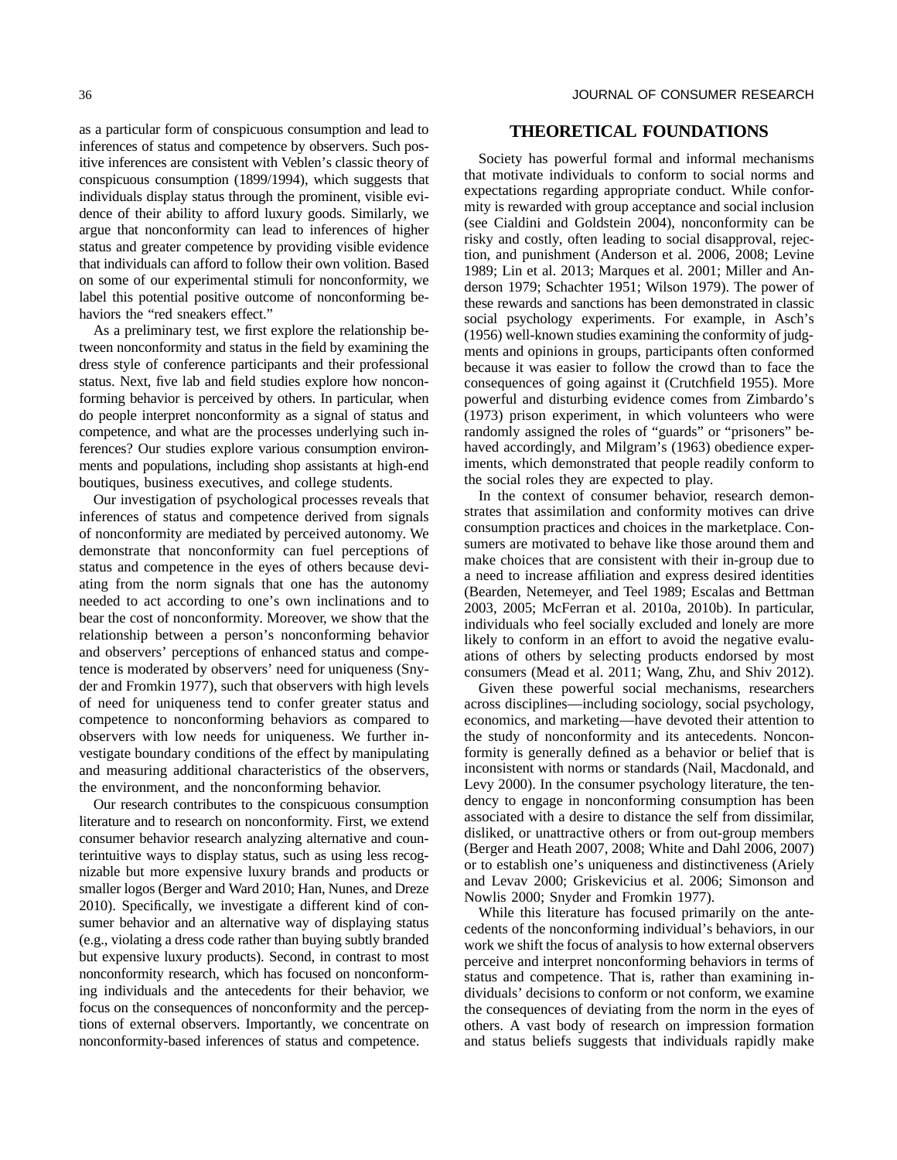as a particular form of conspicuous consumption and lead to inferences of status and competence by observers. Such positive inferences are consistent with Veblen's classic theory of conspicuous consumption (1899/1994), which suggests that individuals display status through the prominent, visible evidence of their ability to afford luxury goods. Similarly, we argue that nonconformity can lead to inferences of higher status and greater competence by providing visible evidence that individuals can afford to follow their own volition. Based on some of our experimental stimuli for nonconformity, we label this potential positive outcome of nonconforming behaviors the "red sneakers effect."

As a preliminary test, we first explore the relationship between nonconformity and status in the field by examining the dress style of conference participants and their professional status. Next, five lab and field studies explore how nonconforming behavior is perceived by others. In particular, when do people interpret nonconformity as a signal of status and competence, and what are the processes underlying such inferences? Our studies explore various consumption environments and populations, including shop assistants at high-end boutiques, business executives, and college students.

Our investigation of psychological processes reveals that inferences of status and competence derived from signals of nonconformity are mediated by perceived autonomy. We demonstrate that nonconformity can fuel perceptions of status and competence in the eyes of others because deviating from the norm signals that one has the autonomy needed to act according to one's own inclinations and to bear the cost of nonconformity. Moreover, we show that the relationship between a person's nonconforming behavior and observers' perceptions of enhanced status and competence is moderated by observers' need for uniqueness (Snyder and Fromkin 1977), such that observers with high levels of need for uniqueness tend to confer greater status and competence to nonconforming behaviors as compared to observers with low needs for uniqueness. We further investigate boundary conditions of the effect by manipulating and measuring additional characteristics of the observers, the environment, and the nonconforming behavior.

Our research contributes to the conspicuous consumption literature and to research on nonconformity. First, we extend consumer behavior research analyzing alternative and counterintuitive ways to display status, such as using less recognizable but more expensive luxury brands and products or smaller logos (Berger and Ward 2010; Han, Nunes, and Dreze 2010). Specifically, we investigate a different kind of consumer behavior and an alternative way of displaying status (e.g., violating a dress code rather than buying subtly branded but expensive luxury products). Second, in contrast to most nonconformity research, which has focused on nonconforming individuals and the antecedents for their behavior, we focus on the consequences of nonconformity and the perceptions of external observers. Importantly, we concentrate on nonconformity-based inferences of status and competence.

## **THEORETICAL FOUNDATIONS**

Society has powerful formal and informal mechanisms that motivate individuals to conform to social norms and expectations regarding appropriate conduct. While conformity is rewarded with group acceptance and social inclusion (see Cialdini and Goldstein 2004), nonconformity can be risky and costly, often leading to social disapproval, rejection, and punishment (Anderson et al. 2006, 2008; Levine 1989; Lin et al. 2013; Marques et al. 2001; Miller and Anderson 1979; Schachter 1951; Wilson 1979). The power of these rewards and sanctions has been demonstrated in classic social psychology experiments. For example, in Asch's (1956) well-known studies examining the conformity of judgments and opinions in groups, participants often conformed because it was easier to follow the crowd than to face the consequences of going against it (Crutchfield 1955). More powerful and disturbing evidence comes from Zimbardo's (1973) prison experiment, in which volunteers who were randomly assigned the roles of "guards" or "prisoners" behaved accordingly, and Milgram's (1963) obedience experiments, which demonstrated that people readily conform to the social roles they are expected to play.

In the context of consumer behavior, research demonstrates that assimilation and conformity motives can drive consumption practices and choices in the marketplace. Consumers are motivated to behave like those around them and make choices that are consistent with their in-group due to a need to increase affiliation and express desired identities (Bearden, Netemeyer, and Teel 1989; Escalas and Bettman 2003, 2005; McFerran et al. 2010a, 2010b). In particular, individuals who feel socially excluded and lonely are more likely to conform in an effort to avoid the negative evaluations of others by selecting products endorsed by most consumers (Mead et al. 2011; Wang, Zhu, and Shiv 2012).

Given these powerful social mechanisms, researchers across disciplines—including sociology, social psychology, economics, and marketing—have devoted their attention to the study of nonconformity and its antecedents. Nonconformity is generally defined as a behavior or belief that is inconsistent with norms or standards (Nail, Macdonald, and Levy 2000). In the consumer psychology literature, the tendency to engage in nonconforming consumption has been associated with a desire to distance the self from dissimilar, disliked, or unattractive others or from out-group members (Berger and Heath 2007, 2008; White and Dahl 2006, 2007) or to establish one's uniqueness and distinctiveness (Ariely and Levav 2000; Griskevicius et al. 2006; Simonson and Nowlis 2000; Snyder and Fromkin 1977).

While this literature has focused primarily on the antecedents of the nonconforming individual's behaviors, in our work we shift the focus of analysis to how external observers perceive and interpret nonconforming behaviors in terms of status and competence. That is, rather than examining individuals' decisions to conform or not conform, we examine the consequences of deviating from the norm in the eyes of others. A vast body of research on impression formation and status beliefs suggests that individuals rapidly make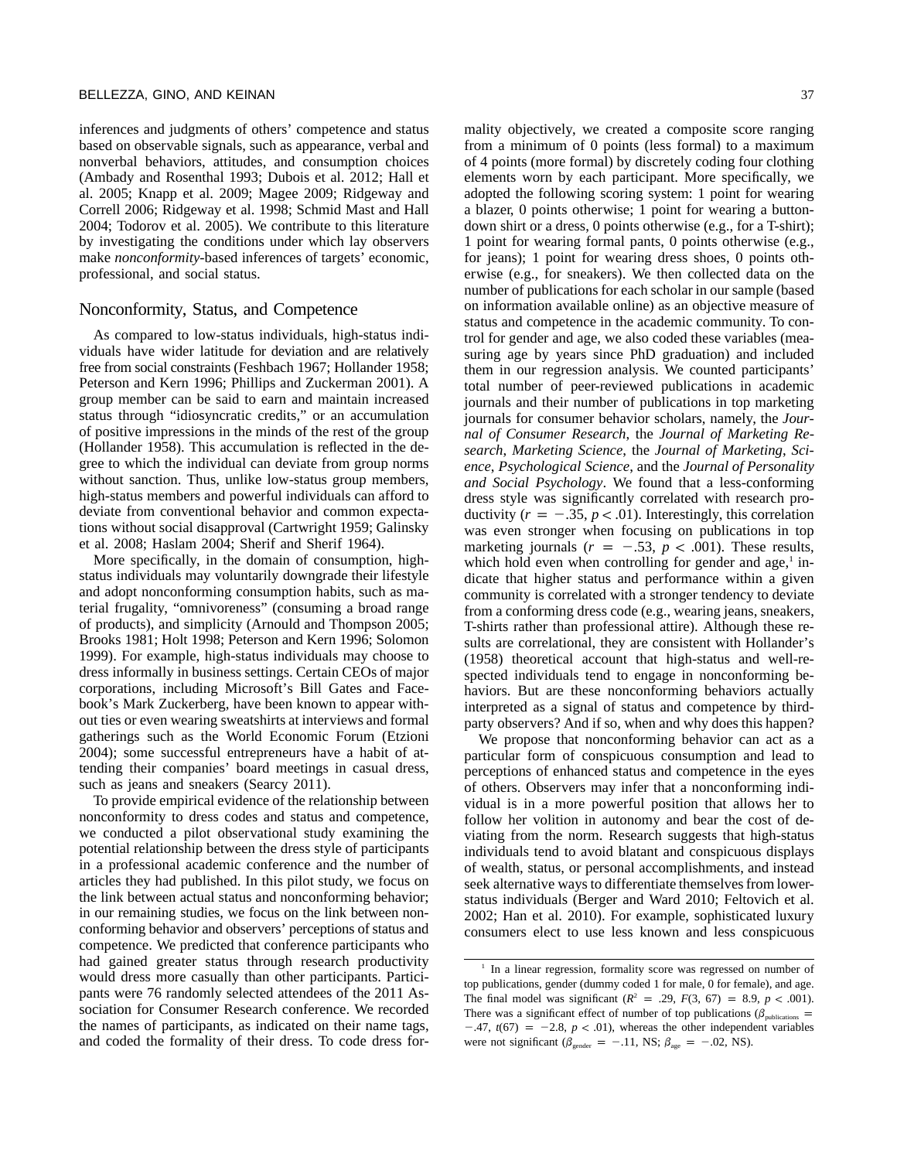inferences and judgments of others' competence and status based on observable signals, such as appearance, verbal and nonverbal behaviors, attitudes, and consumption choices (Ambady and Rosenthal 1993; Dubois et al. 2012; Hall et al. 2005; Knapp et al. 2009; Magee 2009; Ridgeway and Correll 2006; Ridgeway et al. 1998; Schmid Mast and Hall 2004; Todorov et al. 2005). We contribute to this literature by investigating the conditions under which lay observers make *nonconformity*-based inferences of targets' economic, professional, and social status.

## Nonconformity, Status, and Competence

As compared to low-status individuals, high-status individuals have wider latitude for deviation and are relatively free from social constraints (Feshbach 1967; Hollander 1958; Peterson and Kern 1996; Phillips and Zuckerman 2001). A group member can be said to earn and maintain increased status through "idiosyncratic credits," or an accumulation of positive impressions in the minds of the rest of the group (Hollander 1958). This accumulation is reflected in the degree to which the individual can deviate from group norms without sanction. Thus, unlike low-status group members, high-status members and powerful individuals can afford to deviate from conventional behavior and common expectations without social disapproval (Cartwright 1959; Galinsky et al. 2008; Haslam 2004; Sherif and Sherif 1964).

More specifically, in the domain of consumption, highstatus individuals may voluntarily downgrade their lifestyle and adopt nonconforming consumption habits, such as material frugality, "omnivoreness" (consuming a broad range of products), and simplicity (Arnould and Thompson 2005; Brooks 1981; Holt 1998; Peterson and Kern 1996; Solomon 1999). For example, high-status individuals may choose to dress informally in business settings. Certain CEOs of major corporations, including Microsoft's Bill Gates and Facebook's Mark Zuckerberg, have been known to appear without ties or even wearing sweatshirts at interviews and formal gatherings such as the World Economic Forum (Etzioni 2004); some successful entrepreneurs have a habit of attending their companies' board meetings in casual dress, such as jeans and sneakers (Searcy 2011).

To provide empirical evidence of the relationship between nonconformity to dress codes and status and competence, we conducted a pilot observational study examining the potential relationship between the dress style of participants in a professional academic conference and the number of articles they had published. In this pilot study, we focus on the link between actual status and nonconforming behavior; in our remaining studies, we focus on the link between nonconforming behavior and observers' perceptions of status and competence. We predicted that conference participants who had gained greater status through research productivity would dress more casually than other participants. Participants were 76 randomly selected attendees of the 2011 Association for Consumer Research conference. We recorded the names of participants, as indicated on their name tags, and coded the formality of their dress. To code dress formality objectively, we created a composite score ranging from a minimum of 0 points (less formal) to a maximum of 4 points (more formal) by discretely coding four clothing elements worn by each participant. More specifically, we adopted the following scoring system: 1 point for wearing a blazer, 0 points otherwise; 1 point for wearing a buttondown shirt or a dress, 0 points otherwise (e.g., for a T-shirt); 1 point for wearing formal pants, 0 points otherwise (e.g., for jeans); 1 point for wearing dress shoes, 0 points otherwise (e.g., for sneakers). We then collected data on the number of publications for each scholar in our sample (based on information available online) as an objective measure of status and competence in the academic community. To control for gender and age, we also coded these variables (measuring age by years since PhD graduation) and included them in our regression analysis. We counted participants' total number of peer-reviewed publications in academic journals and their number of publications in top marketing journals for consumer behavior scholars, namely, the *Journal of Consumer Research*, the *Journal of Marketing Research*, *Marketing Science*, the *Journal of Marketing*, *Science*, *Psychological Science*, and the *Journal of Personality and Social Psychology*. We found that a less-conforming dress style was significantly correlated with research productivity  $(r = -.35, p < .01)$ . Interestingly, this correlation was even stronger when focusing on publications in top marketing journals  $(r = -.53, p < .001)$ . These results, which hold even when controlling for gender and age, $<sup>1</sup>$  in-</sup> dicate that higher status and performance within a given community is correlated with a stronger tendency to deviate from a conforming dress code (e.g., wearing jeans, sneakers, T-shirts rather than professional attire). Although these results are correlational, they are consistent with Hollander's (1958) theoretical account that high-status and well-respected individuals tend to engage in nonconforming behaviors. But are these nonconforming behaviors actually interpreted as a signal of status and competence by thirdparty observers? And if so, when and why does this happen?

We propose that nonconforming behavior can act as a particular form of conspicuous consumption and lead to perceptions of enhanced status and competence in the eyes of others. Observers may infer that a nonconforming individual is in a more powerful position that allows her to follow her volition in autonomy and bear the cost of deviating from the norm. Research suggests that high-status individuals tend to avoid blatant and conspicuous displays of wealth, status, or personal accomplishments, and instead seek alternative ways to differentiate themselves from lowerstatus individuals (Berger and Ward 2010; Feltovich et al. 2002; Han et al. 2010). For example, sophisticated luxury consumers elect to use less known and less conspicuous

<sup>1</sup> In a linear regression, formality score was regressed on number of top publications, gender (dummy coded 1 for male, 0 for female), and age. The final model was significant ( $R^2$  = .29,  $F(3, 67)$  = 8.9,  $p < .001$ ). There was a significant effect of number of top publications ( $\beta_{\text{sublications}}$  =  $-47$ ,  $t(67) = -2.8$ ,  $p < .01$ ), whereas the other independent variables were not significant ( $\beta_{\text{gender}} = -.11$ , NS;  $\beta_{\text{age}} = -.02$ , NS).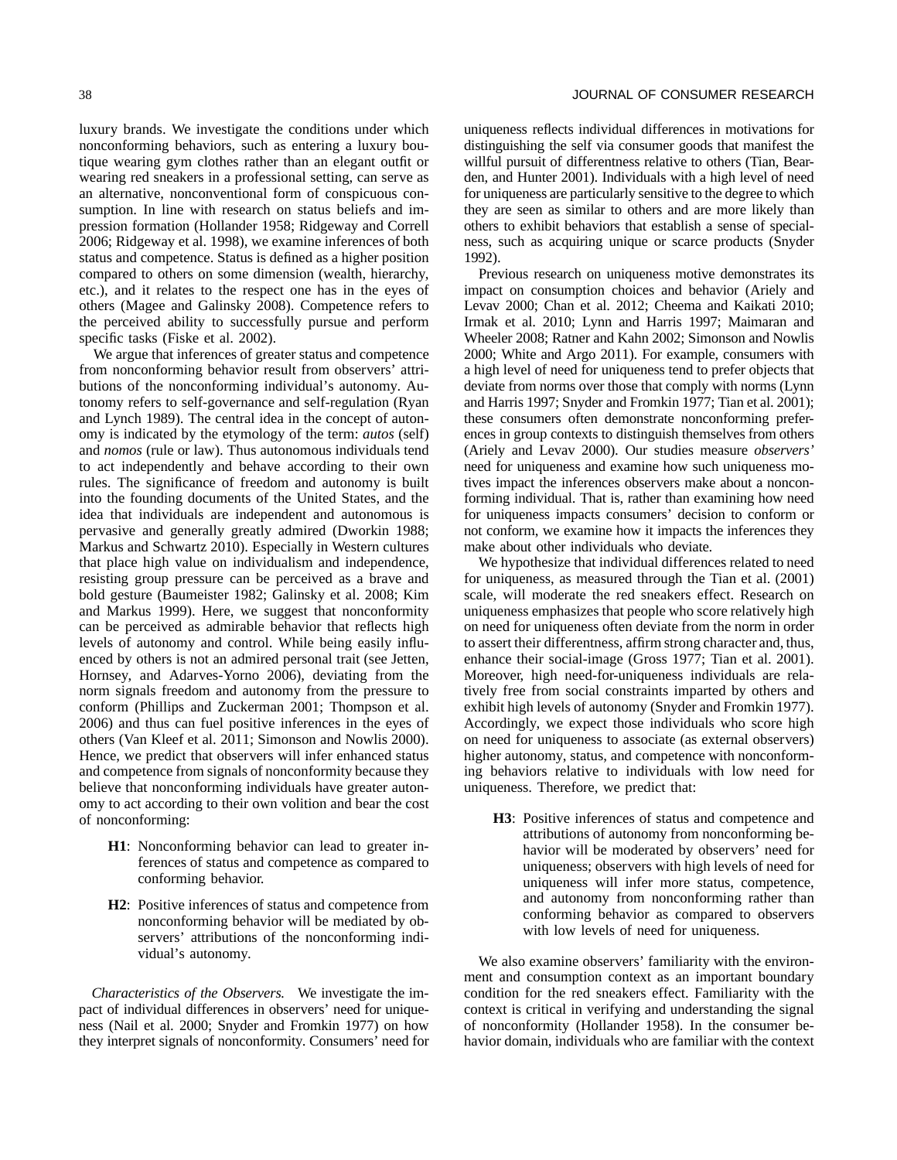luxury brands. We investigate the conditions under which nonconforming behaviors, such as entering a luxury boutique wearing gym clothes rather than an elegant outfit or wearing red sneakers in a professional setting, can serve as an alternative, nonconventional form of conspicuous consumption. In line with research on status beliefs and impression formation (Hollander 1958; Ridgeway and Correll 2006; Ridgeway et al. 1998), we examine inferences of both status and competence. Status is defined as a higher position compared to others on some dimension (wealth, hierarchy, etc.), and it relates to the respect one has in the eyes of others (Magee and Galinsky 2008). Competence refers to the perceived ability to successfully pursue and perform specific tasks (Fiske et al. 2002).

We argue that inferences of greater status and competence from nonconforming behavior result from observers' attributions of the nonconforming individual's autonomy. Autonomy refers to self-governance and self-regulation (Ryan and Lynch 1989). The central idea in the concept of autonomy is indicated by the etymology of the term: *autos* (self) and *nomos* (rule or law). Thus autonomous individuals tend to act independently and behave according to their own rules. The significance of freedom and autonomy is built into the founding documents of the United States, and the idea that individuals are independent and autonomous is pervasive and generally greatly admired (Dworkin 1988; Markus and Schwartz 2010). Especially in Western cultures that place high value on individualism and independence, resisting group pressure can be perceived as a brave and bold gesture (Baumeister 1982; Galinsky et al. 2008; Kim and Markus 1999). Here, we suggest that nonconformity can be perceived as admirable behavior that reflects high levels of autonomy and control. While being easily influenced by others is not an admired personal trait (see Jetten, Hornsey, and Adarves-Yorno 2006), deviating from the norm signals freedom and autonomy from the pressure to conform (Phillips and Zuckerman 2001; Thompson et al. 2006) and thus can fuel positive inferences in the eyes of others (Van Kleef et al. 2011; Simonson and Nowlis 2000). Hence, we predict that observers will infer enhanced status and competence from signals of nonconformity because they believe that nonconforming individuals have greater autonomy to act according to their own volition and bear the cost of nonconforming:

- **H1**: Nonconforming behavior can lead to greater inferences of status and competence as compared to conforming behavior.
- **H2**: Positive inferences of status and competence from nonconforming behavior will be mediated by observers' attributions of the nonconforming individual's autonomy.

*Characteristics of the Observers.* We investigate the impact of individual differences in observers' need for uniqueness (Nail et al. 2000; Snyder and Fromkin 1977) on how they interpret signals of nonconformity. Consumers' need for uniqueness reflects individual differences in motivations for distinguishing the self via consumer goods that manifest the willful pursuit of differentness relative to others (Tian, Bearden, and Hunter 2001). Individuals with a high level of need for uniqueness are particularly sensitive to the degree to which they are seen as similar to others and are more likely than others to exhibit behaviors that establish a sense of specialness, such as acquiring unique or scarce products (Snyder 1992).

Previous research on uniqueness motive demonstrates its impact on consumption choices and behavior (Ariely and Levav 2000; Chan et al. 2012; Cheema and Kaikati 2010; Irmak et al. 2010; Lynn and Harris 1997; Maimaran and Wheeler 2008; Ratner and Kahn 2002; Simonson and Nowlis 2000; White and Argo 2011). For example, consumers with a high level of need for uniqueness tend to prefer objects that deviate from norms over those that comply with norms (Lynn and Harris 1997; Snyder and Fromkin 1977; Tian et al. 2001); these consumers often demonstrate nonconforming preferences in group contexts to distinguish themselves from others (Ariely and Levav 2000). Our studies measure *observers'* need for uniqueness and examine how such uniqueness motives impact the inferences observers make about a nonconforming individual. That is, rather than examining how need for uniqueness impacts consumers' decision to conform or not conform, we examine how it impacts the inferences they make about other individuals who deviate.

We hypothesize that individual differences related to need for uniqueness, as measured through the Tian et al. (2001) scale, will moderate the red sneakers effect. Research on uniqueness emphasizes that people who score relatively high on need for uniqueness often deviate from the norm in order to assert their differentness, affirm strong character and, thus, enhance their social-image (Gross 1977; Tian et al. 2001). Moreover, high need-for-uniqueness individuals are relatively free from social constraints imparted by others and exhibit high levels of autonomy (Snyder and Fromkin 1977). Accordingly, we expect those individuals who score high on need for uniqueness to associate (as external observers) higher autonomy, status, and competence with nonconforming behaviors relative to individuals with low need for uniqueness. Therefore, we predict that:

**H3**: Positive inferences of status and competence and attributions of autonomy from nonconforming behavior will be moderated by observers' need for uniqueness; observers with high levels of need for uniqueness will infer more status, competence, and autonomy from nonconforming rather than conforming behavior as compared to observers with low levels of need for uniqueness.

We also examine observers' familiarity with the environment and consumption context as an important boundary condition for the red sneakers effect. Familiarity with the context is critical in verifying and understanding the signal of nonconformity (Hollander 1958). In the consumer behavior domain, individuals who are familiar with the context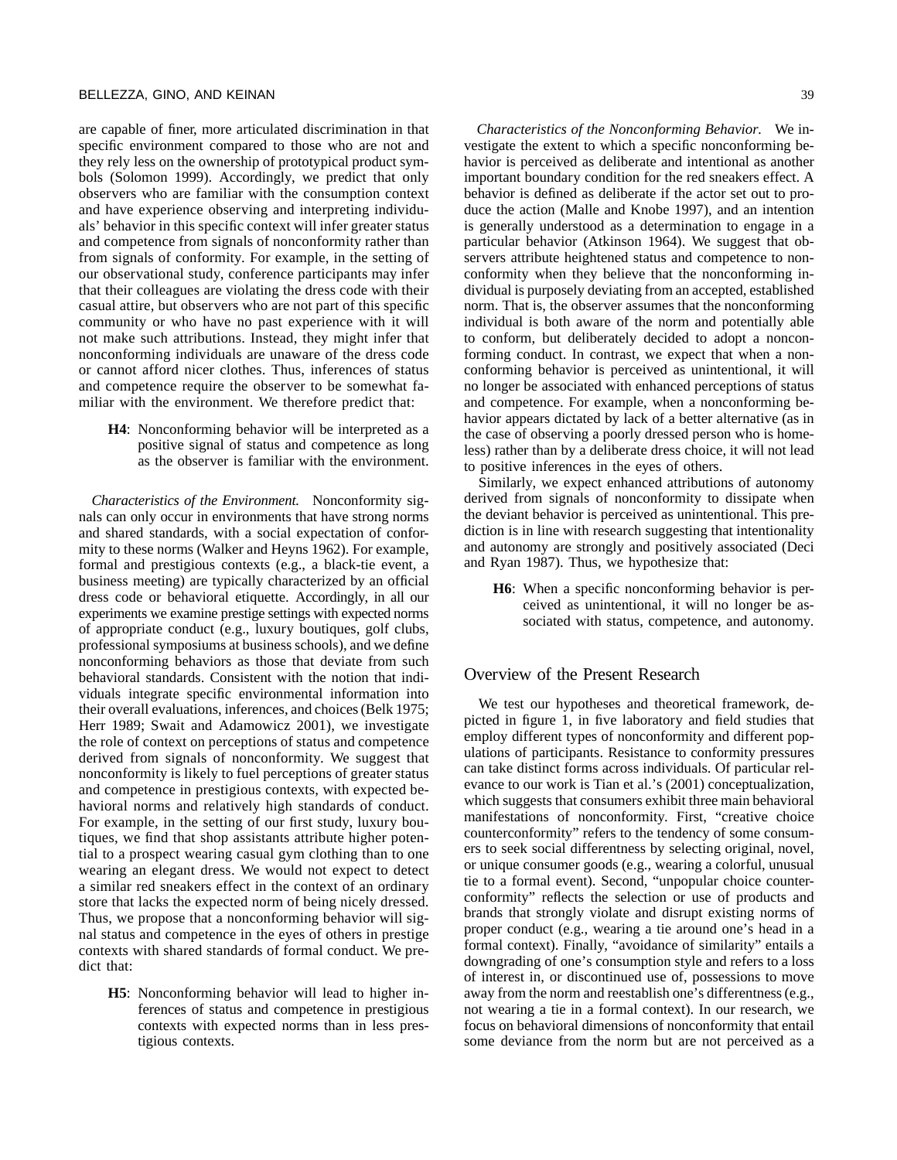are capable of finer, more articulated discrimination in that specific environment compared to those who are not and they rely less on the ownership of prototypical product symbols (Solomon 1999). Accordingly, we predict that only observers who are familiar with the consumption context and have experience observing and interpreting individuals' behavior in this specific context will infer greater status and competence from signals of nonconformity rather than from signals of conformity. For example, in the setting of our observational study, conference participants may infer that their colleagues are violating the dress code with their casual attire, but observers who are not part of this specific community or who have no past experience with it will not make such attributions. Instead, they might infer that nonconforming individuals are unaware of the dress code or cannot afford nicer clothes. Thus, inferences of status and competence require the observer to be somewhat familiar with the environment. We therefore predict that:

**H4**: Nonconforming behavior will be interpreted as a positive signal of status and competence as long as the observer is familiar with the environment.

*Characteristics of the Environment.* Nonconformity signals can only occur in environments that have strong norms and shared standards, with a social expectation of conformity to these norms (Walker and Heyns 1962). For example, formal and prestigious contexts (e.g., a black-tie event, a business meeting) are typically characterized by an official dress code or behavioral etiquette. Accordingly, in all our experiments we examine prestige settings with expected norms of appropriate conduct (e.g., luxury boutiques, golf clubs, professional symposiums at business schools), and we define nonconforming behaviors as those that deviate from such behavioral standards. Consistent with the notion that individuals integrate specific environmental information into their overall evaluations, inferences, and choices (Belk 1975; Herr 1989; Swait and Adamowicz 2001), we investigate the role of context on perceptions of status and competence derived from signals of nonconformity. We suggest that nonconformity is likely to fuel perceptions of greater status and competence in prestigious contexts, with expected behavioral norms and relatively high standards of conduct. For example, in the setting of our first study, luxury boutiques, we find that shop assistants attribute higher potential to a prospect wearing casual gym clothing than to one wearing an elegant dress. We would not expect to detect a similar red sneakers effect in the context of an ordinary store that lacks the expected norm of being nicely dressed. Thus, we propose that a nonconforming behavior will signal status and competence in the eyes of others in prestige contexts with shared standards of formal conduct. We predict that:

**H5**: Nonconforming behavior will lead to higher inferences of status and competence in prestigious contexts with expected norms than in less prestigious contexts.

*Characteristics of the Nonconforming Behavior.* We investigate the extent to which a specific nonconforming behavior is perceived as deliberate and intentional as another important boundary condition for the red sneakers effect. A behavior is defined as deliberate if the actor set out to produce the action (Malle and Knobe 1997), and an intention is generally understood as a determination to engage in a particular behavior (Atkinson 1964). We suggest that observers attribute heightened status and competence to nonconformity when they believe that the nonconforming individual is purposely deviating from an accepted, established norm. That is, the observer assumes that the nonconforming individual is both aware of the norm and potentially able to conform, but deliberately decided to adopt a nonconforming conduct. In contrast, we expect that when a nonconforming behavior is perceived as unintentional, it will no longer be associated with enhanced perceptions of status and competence. For example, when a nonconforming behavior appears dictated by lack of a better alternative (as in the case of observing a poorly dressed person who is homeless) rather than by a deliberate dress choice, it will not lead to positive inferences in the eyes of others.

Similarly, we expect enhanced attributions of autonomy derived from signals of nonconformity to dissipate when the deviant behavior is perceived as unintentional. This prediction is in line with research suggesting that intentionality and autonomy are strongly and positively associated (Deci and Ryan 1987). Thus, we hypothesize that:

**H6**: When a specific nonconforming behavior is perceived as unintentional, it will no longer be associated with status, competence, and autonomy.

## Overview of the Present Research

We test our hypotheses and theoretical framework, depicted in figure 1, in five laboratory and field studies that employ different types of nonconformity and different populations of participants. Resistance to conformity pressures can take distinct forms across individuals. Of particular relevance to our work is Tian et al.'s (2001) conceptualization, which suggests that consumers exhibit three main behavioral manifestations of nonconformity. First, "creative choice counterconformity" refers to the tendency of some consumers to seek social differentness by selecting original, novel, or unique consumer goods (e.g., wearing a colorful, unusual tie to a formal event). Second, "unpopular choice counterconformity" reflects the selection or use of products and brands that strongly violate and disrupt existing norms of proper conduct (e.g., wearing a tie around one's head in a formal context). Finally, "avoidance of similarity" entails a downgrading of one's consumption style and refers to a loss of interest in, or discontinued use of, possessions to move away from the norm and reestablish one's differentness (e.g., not wearing a tie in a formal context). In our research, we focus on behavioral dimensions of nonconformity that entail some deviance from the norm but are not perceived as a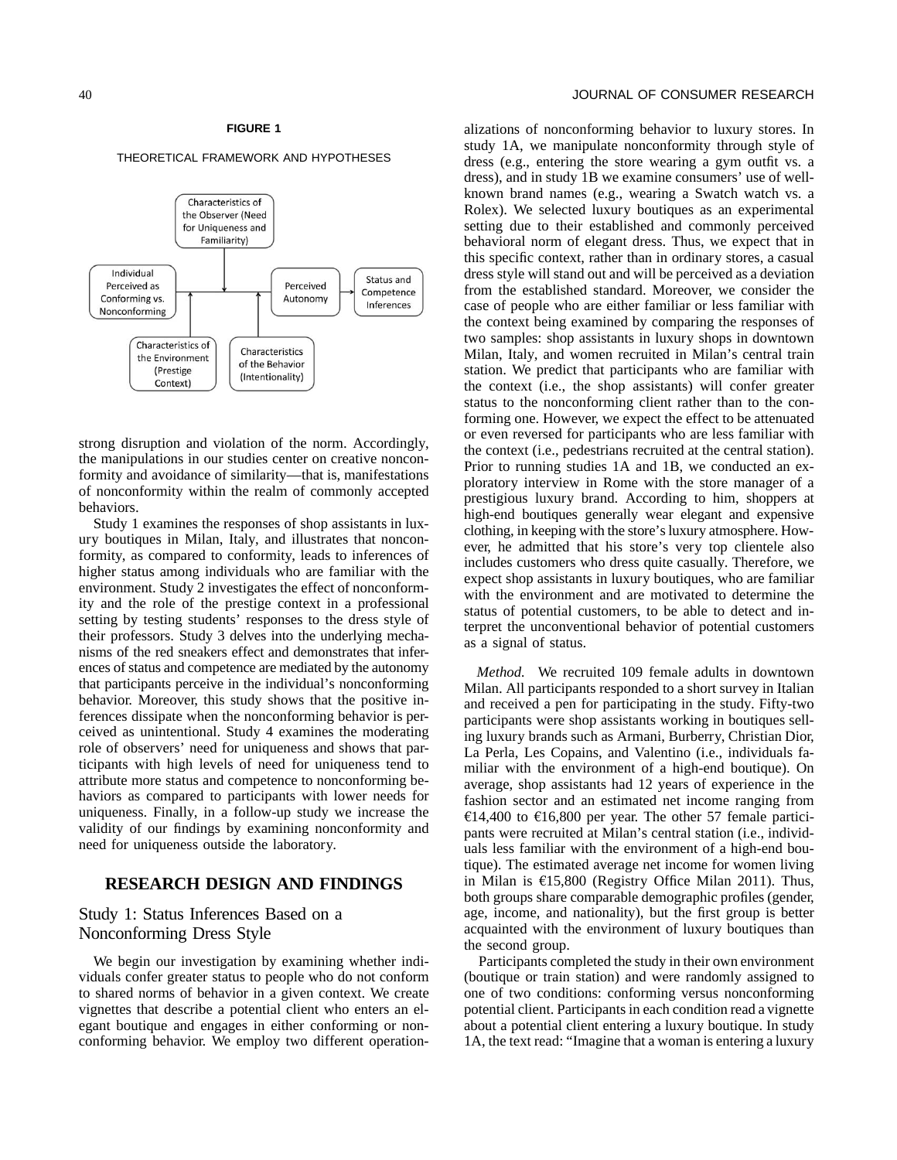## **FIGURE 1**

#### THEORETICAL FRAMEWORK AND HYPOTHESES



strong disruption and violation of the norm. Accordingly, the manipulations in our studies center on creative nonconformity and avoidance of similarity—that is, manifestations of nonconformity within the realm of commonly accepted behaviors.

Study 1 examines the responses of shop assistants in luxury boutiques in Milan, Italy, and illustrates that nonconformity, as compared to conformity, leads to inferences of higher status among individuals who are familiar with the environment. Study 2 investigates the effect of nonconformity and the role of the prestige context in a professional setting by testing students' responses to the dress style of their professors. Study 3 delves into the underlying mechanisms of the red sneakers effect and demonstrates that inferences of status and competence are mediated by the autonomy that participants perceive in the individual's nonconforming behavior. Moreover, this study shows that the positive inferences dissipate when the nonconforming behavior is perceived as unintentional. Study 4 examines the moderating role of observers' need for uniqueness and shows that participants with high levels of need for uniqueness tend to attribute more status and competence to nonconforming behaviors as compared to participants with lower needs for uniqueness. Finally, in a follow-up study we increase the validity of our findings by examining nonconformity and need for uniqueness outside the laboratory.

## **RESEARCH DESIGN AND FINDINGS**

# Study 1: Status Inferences Based on a Nonconforming Dress Style

We begin our investigation by examining whether individuals confer greater status to people who do not conform to shared norms of behavior in a given context. We create vignettes that describe a potential client who enters an elegant boutique and engages in either conforming or nonconforming behavior. We employ two different operationalizations of nonconforming behavior to luxury stores. In study 1A, we manipulate nonconformity through style of dress (e.g., entering the store wearing a gym outfit vs. a dress), and in study 1B we examine consumers' use of wellknown brand names (e.g., wearing a Swatch watch vs. a Rolex). We selected luxury boutiques as an experimental setting due to their established and commonly perceived behavioral norm of elegant dress. Thus, we expect that in this specific context, rather than in ordinary stores, a casual dress style will stand out and will be perceived as a deviation from the established standard. Moreover, we consider the case of people who are either familiar or less familiar with the context being examined by comparing the responses of two samples: shop assistants in luxury shops in downtown Milan, Italy, and women recruited in Milan's central train station. We predict that participants who are familiar with the context (i.e., the shop assistants) will confer greater status to the nonconforming client rather than to the conforming one. However, we expect the effect to be attenuated or even reversed for participants who are less familiar with the context (i.e., pedestrians recruited at the central station). Prior to running studies 1A and 1B, we conducted an exploratory interview in Rome with the store manager of a prestigious luxury brand. According to him, shoppers at high-end boutiques generally wear elegant and expensive clothing, in keeping with the store's luxury atmosphere. However, he admitted that his store's very top clientele also includes customers who dress quite casually. Therefore, we expect shop assistants in luxury boutiques, who are familiar with the environment and are motivated to determine the status of potential customers, to be able to detect and interpret the unconventional behavior of potential customers as a signal of status.

*Method.* We recruited 109 female adults in downtown Milan. All participants responded to a short survey in Italian and received a pen for participating in the study. Fifty-two participants were shop assistants working in boutiques selling luxury brands such as Armani, Burberry, Christian Dior, La Perla, Les Copains, and Valentino (i.e., individuals familiar with the environment of a high-end boutique). On average, shop assistants had 12 years of experience in the fashion sector and an estimated net income ranging from €14,400 to €16,800 per year. The other 57 female participants were recruited at Milan's central station (i.e., individuals less familiar with the environment of a high-end boutique). The estimated average net income for women living in Milan is  $\text{\textsterling}15,800$  (Registry Office Milan 2011). Thus, both groups share comparable demographic profiles (gender, age, income, and nationality), but the first group is better acquainted with the environment of luxury boutiques than the second group.

Participants completed the study in their own environment (boutique or train station) and were randomly assigned to one of two conditions: conforming versus nonconforming potential client. Participants in each condition read a vignette about a potential client entering a luxury boutique. In study 1A, the text read: "Imagine that a woman is entering a luxury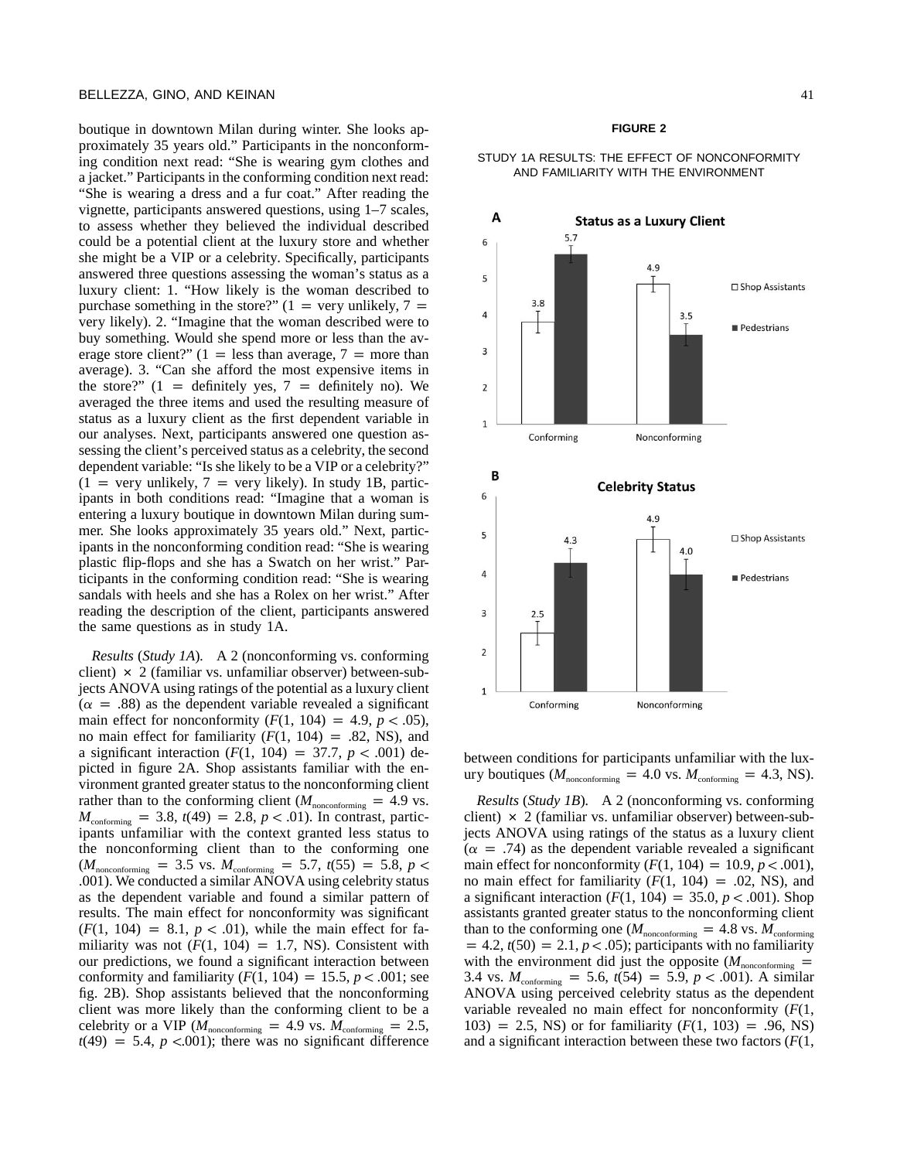boutique in downtown Milan during winter. She looks approximately 35 years old." Participants in the nonconforming condition next read: "She is wearing gym clothes and a jacket." Participants in the conforming condition next read: "She is wearing a dress and a fur coat." After reading the vignette, participants answered questions, using 1–7 scales, to assess whether they believed the individual described could be a potential client at the luxury store and whether she might be a VIP or a celebrity. Specifically, participants answered three questions assessing the woman's status as a luxury client: 1. "How likely is the woman described to purchase something in the store?"  $(1 = \text{very unlikely}, 7 =$ very likely). 2. "Imagine that the woman described were to buy something. Would she spend more or less than the average store client?"  $(1 = \text{less than average}, 7 = \text{more than})$ average). 3. "Can she afford the most expensive items in the store?"  $(1 =$  definitely yes,  $7 =$  definitely no). We averaged the three items and used the resulting measure of status as a luxury client as the first dependent variable in our analyses. Next, participants answered one question assessing the client's perceived status as a celebrity, the second dependent variable: "Is she likely to be a VIP or a celebrity?"  $(1 = \text{very unlikely}, 7 = \text{very likely})$ . In study 1B, participants in both conditions read: "Imagine that a woman is entering a luxury boutique in downtown Milan during summer. She looks approximately 35 years old." Next, participants in the nonconforming condition read: "She is wearing plastic flip-flops and she has a Swatch on her wrist." Participants in the conforming condition read: "She is wearing sandals with heels and she has a Rolex on her wrist." After reading the description of the client, participants answered the same questions as in study 1A.

*Results* (*Study 1A*)*.* A 2 (nonconforming vs. conforming client)  $\times$  2 (familiar vs. unfamiliar observer) between-subjects ANOVA using ratings of the potential as a luxury client  $(\alpha = .88)$  as the dependent variable revealed a significant main effect for nonconformity  $(F(1, 104) = 4.9, p < .05)$ , no main effect for familiarity  $(F(1, 104) = .82, NS)$ , and a significant interaction  $(F(1, 104) = 37.7, p < .001)$  depicted in figure 2A. Shop assistants familiar with the environment granted greater status to the nonconforming client rather than to the conforming client ( $M_{\text{nonconforming}} = 4.9 \text{ vs.}$ )  $M_{\text{conforming}} = 3.8$ ,  $t(49) = 2.8$ ,  $p < .01$ ). In contrast, participants unfamiliar with the context granted less status to the nonconforming client than to the conforming one  $(M_{\text{nonconforming}} = 3.5 \text{ vs. } M_{\text{conforming}} = 5.7, t(55) = 5.8, p <$ .001). We conducted a similar ANOVA using celebrity status as the dependent variable and found a similar pattern of results. The main effect for nonconformity was significant  $(F(1, 104) = 8.1, p < .01)$ , while the main effect for familiarity was not  $(F(1, 104) = 1.7, NS)$ . Consistent with our predictions, we found a significant interaction between conformity and familiarity  $(F(1, 104) = 15.5, p < .001$ ; see fig. 2B). Shop assistants believed that the nonconforming client was more likely than the conforming client to be a celebrity or a VIP ( $M_{\text{nonconforming}} = 4.9$  vs.  $M_{\text{conforming}} = 2.5$ ,  $t(49) = 5.4$ ,  $p < .001$ ; there was no significant difference

#### **FIGURE 2**

#### STUDY 1A RESULTS: THE EFFECT OF NONCONFORMITY AND FAMILIARITY WITH THE ENVIRONMENT



between conditions for participants unfamiliar with the luxury boutiques ( $M_{\text{nonconformine}} = 4.0$  vs.  $M_{\text{conformine}} = 4.3$ , NS).

*Results* (*Study 1B*)*.* A 2 (nonconforming vs. conforming client)  $\times$  2 (familiar vs. unfamiliar observer) between-subjects ANOVA using ratings of the status as a luxury client  $(\alpha = .74)$  as the dependent variable revealed a significant main effect for nonconformity  $(F(1, 104) = 10.9, p < .001)$ , no main effect for familiarity  $(F(1, 104) = .02, NS)$ , and a significant interaction  $(F(1, 104) = 35.0, p < .001)$ . Shop assistants granted greater status to the nonconforming client than to the conforming one ( $M_{\text{nonconforming}} = 4.8$  vs.  $M_{\text{conforming}}$  $p = 4.2$ ,  $t(50) = 2.1$ ,  $p < .05$ ); participants with no familiarity with the environment did just the opposite  $(M_{\text{nonconforming}} =$ 3.4 vs.  $M_{\text{conforming}} = 5.6$ ,  $t(54) = 5.9$ ,  $p < .001$ ). A similar ANOVA using perceived celebrity status as the dependent variable revealed no main effect for nonconformity (*F*(1, 103) = 2.5, NS) or for familiarity  $(F(1, 103) = .96, NS)$ and a significant interaction between these two factors (*F*(1,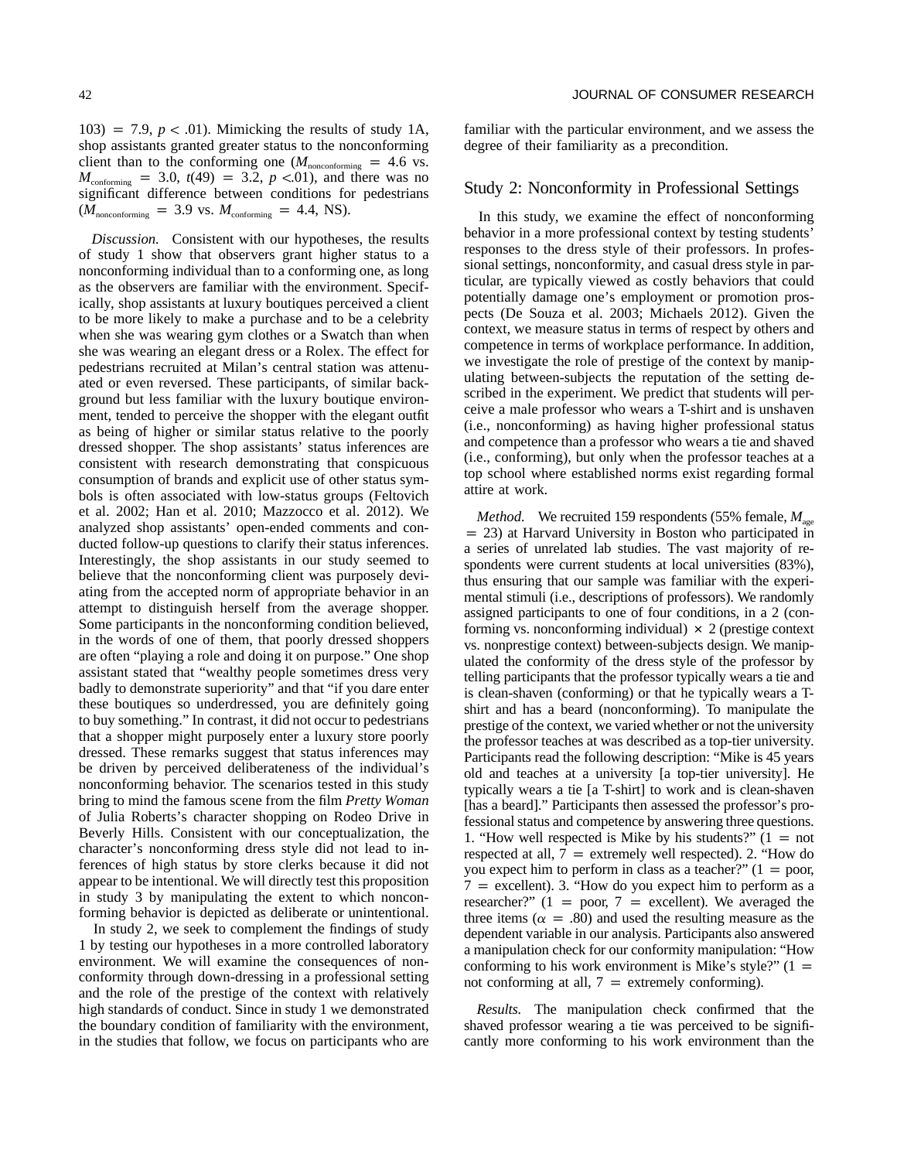103) = 7.9,  $p < .01$ ). Mimicking the results of study 1A, shop assistants granted greater status to the nonconforming client than to the conforming one  $(M_{\text{nonconforming}} = 4.6 \text{ vs.})$  $M_{\text{conforming}}$  = 3.0,  $t(49)$  = 3.2,  $p$  <.01), and there was no significant difference between conditions for pedestrians  $(M_{\text{nonconforming}} = 3.9 \text{ vs. } M_{\text{conforming}} = 4.4, \text{ NS}).$ 

*Discussion.* Consistent with our hypotheses, the results of study 1 show that observers grant higher status to a nonconforming individual than to a conforming one, as long as the observers are familiar with the environment. Specifically, shop assistants at luxury boutiques perceived a client to be more likely to make a purchase and to be a celebrity when she was wearing gym clothes or a Swatch than when she was wearing an elegant dress or a Rolex. The effect for pedestrians recruited at Milan's central station was attenuated or even reversed. These participants, of similar background but less familiar with the luxury boutique environment, tended to perceive the shopper with the elegant outfit as being of higher or similar status relative to the poorly dressed shopper. The shop assistants' status inferences are consistent with research demonstrating that conspicuous consumption of brands and explicit use of other status symbols is often associated with low-status groups (Feltovich et al. 2002; Han et al. 2010; Mazzocco et al. 2012). We analyzed shop assistants' open-ended comments and conducted follow-up questions to clarify their status inferences. Interestingly, the shop assistants in our study seemed to believe that the nonconforming client was purposely deviating from the accepted norm of appropriate behavior in an attempt to distinguish herself from the average shopper. Some participants in the nonconforming condition believed, in the words of one of them, that poorly dressed shoppers are often "playing a role and doing it on purpose." One shop assistant stated that "wealthy people sometimes dress very badly to demonstrate superiority" and that "if you dare enter these boutiques so underdressed, you are definitely going to buy something." In contrast, it did not occur to pedestrians that a shopper might purposely enter a luxury store poorly dressed. These remarks suggest that status inferences may be driven by perceived deliberateness of the individual's nonconforming behavior. The scenarios tested in this study bring to mind the famous scene from the film *Pretty Woman* of Julia Roberts's character shopping on Rodeo Drive in Beverly Hills. Consistent with our conceptualization, the character's nonconforming dress style did not lead to inferences of high status by store clerks because it did not appear to be intentional. We will directly test this proposition in study 3 by manipulating the extent to which nonconforming behavior is depicted as deliberate or unintentional.

In study 2, we seek to complement the findings of study 1 by testing our hypotheses in a more controlled laboratory environment. We will examine the consequences of nonconformity through down-dressing in a professional setting and the role of the prestige of the context with relatively high standards of conduct. Since in study 1 we demonstrated the boundary condition of familiarity with the environment, in the studies that follow, we focus on participants who are familiar with the particular environment, and we assess the degree of their familiarity as a precondition.

#### Study 2: Nonconformity in Professional Settings

In this study, we examine the effect of nonconforming behavior in a more professional context by testing students' responses to the dress style of their professors. In professional settings, nonconformity, and casual dress style in particular, are typically viewed as costly behaviors that could potentially damage one's employment or promotion prospects (De Souza et al. 2003; Michaels 2012). Given the context, we measure status in terms of respect by others and competence in terms of workplace performance. In addition, we investigate the role of prestige of the context by manipulating between-subjects the reputation of the setting described in the experiment. We predict that students will perceive a male professor who wears a T-shirt and is unshaven (i.e., nonconforming) as having higher professional status and competence than a professor who wears a tie and shaved (i.e., conforming), but only when the professor teaches at a top school where established norms exist regarding formal attire at work.

*Method.* We recruited 159 respondents (55% female,  $M_{\text{gas}}$ )  $p = 23$ ) at Harvard University in Boston who participated in a series of unrelated lab studies. The vast majority of respondents were current students at local universities (83%), thus ensuring that our sample was familiar with the experimental stimuli (i.e., descriptions of professors). We randomly assigned participants to one of four conditions, in a 2 (conforming vs. nonconforming individual)  $\times$  2 (prestige context vs. nonprestige context) between-subjects design. We manipulated the conformity of the dress style of the professor by telling participants that the professor typically wears a tie and is clean-shaven (conforming) or that he typically wears a Tshirt and has a beard (nonconforming). To manipulate the prestige of the context, we varied whether or not the university the professor teaches at was described as a top-tier university. Participants read the following description: "Mike is 45 years old and teaches at a university [a top-tier university]. He typically wears a tie [a T-shirt] to work and is clean-shaven [has a beard]." Participants then assessed the professor's professional status and competence by answering three questions. 1. "How well respected is Mike by his students?"  $(1 = not$ respected at all,  $7 =$  extremely well respected). 2. "How do you expect him to perform in class as a teacher?"  $(1 = p$ oor,  $7$  = excellent). 3. "How do you expect him to perform as a researcher?"  $(1 = poor, 7 = excellent)$ . We averaged the three items ( $\alpha = .80$ ) and used the resulting measure as the dependent variable in our analysis. Participants also answered a manipulation check for our conformity manipulation: "How conforming to his work environment is Mike's style?"  $(1 =$ not conforming at all,  $7 =$  extremely conforming).

*Results.* The manipulation check confirmed that the shaved professor wearing a tie was perceived to be significantly more conforming to his work environment than the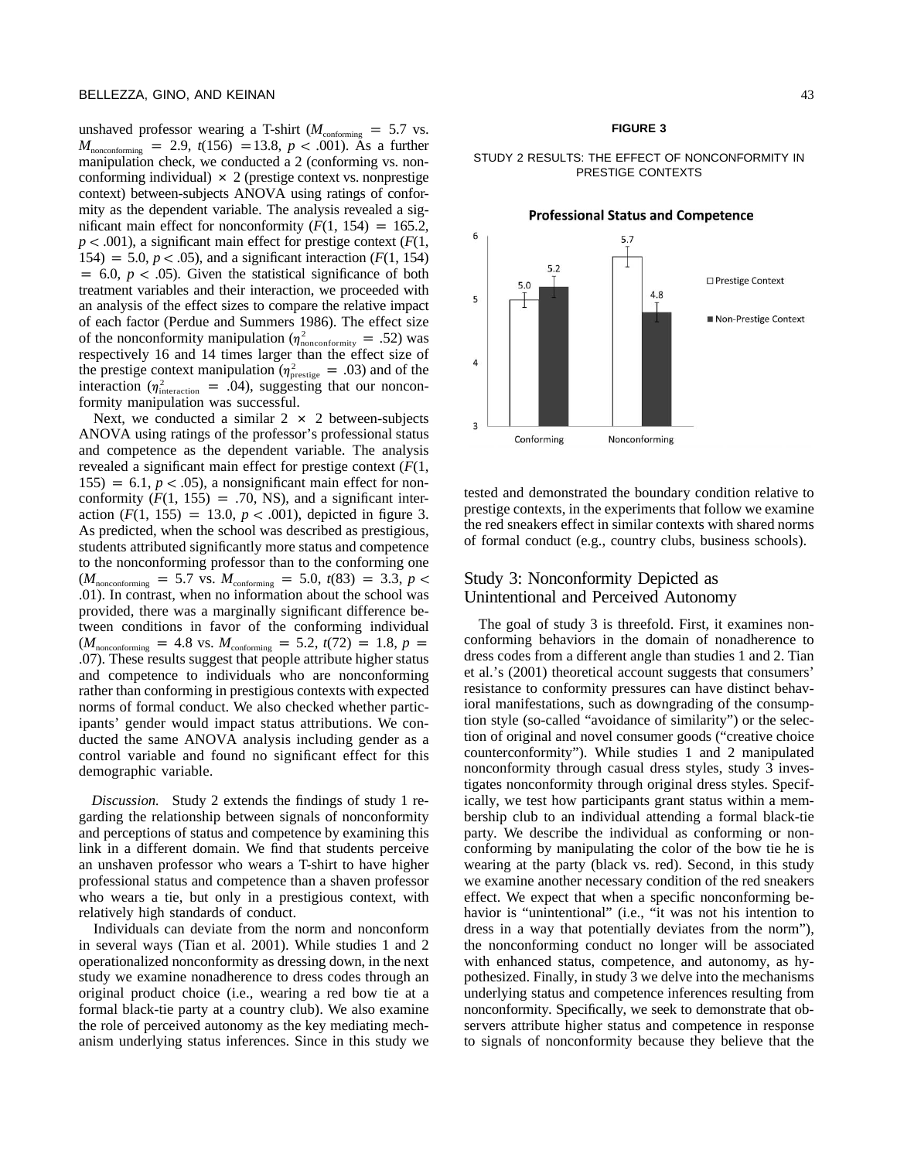unshaved professor wearing a T-shirt ( $M_{\text{conformine}} = 5.7$  vs.  $M_{\text{nonconforming}} = 2.9$ ,  $t(156) = 13.8$ ,  $p < .001$ ). As a further manipulation check, we conducted a 2 (conforming vs. nonconforming individual)  $\times$  2 (prestige context vs. nonprestige context) between-subjects ANOVA using ratings of conformity as the dependent variable. The analysis revealed a significant main effect for nonconformity  $(F(1, 154) = 165.2,$  $p < .001$ ), a significant main effect for prestige context ( $F(1, 1)$ ) 154) = 5.0,  $p < .05$ ), and a significant interaction ( $F(1, 154)$ )  $p = 6.0$ ,  $p < .05$ ). Given the statistical significance of both treatment variables and their interaction, we proceeded with an analysis of the effect sizes to compare the relative impact of each factor (Perdue and Summers 1986). The effect size of the nonconformity manipulation ( $\eta_{\text{nonconformity}}^2 = .52$ ) was respectively 16 and 14 times larger than the effect size of the prestige context manipulation ( $\eta_{\text{preslige}}^2 = .03$ ) and of the interaction ( $\eta_{\text{interaction}}^2$  = .04), suggesting that our nonconformity manipulation was successful.

Next, we conducted a similar  $2 \times 2$  between-subjects ANOVA using ratings of the professor's professional status and competence as the dependent variable. The analysis revealed a significant main effect for prestige context (*F*(1,  $155$ ) = 6.1,  $p < .05$ ), a nonsignificant main effect for nonconformity  $(F(1, 155) = .70, NS)$ , and a significant interaction  $(F(1, 155) = 13.0, p < .001)$ , depicted in figure 3. As predicted, when the school was described as prestigious, students attributed significantly more status and competence to the nonconforming professor than to the conforming one  $(M_{\text{nonconforming}} = 5.7 \text{ vs. } M_{\text{conforming}} = 5.0, t(83) = 3.3, p <$ .01). In contrast, when no information about the school was provided, there was a marginally significant difference between conditions in favor of the conforming individual  $(M_{\text{nonconforming}} = 4.8 \text{ vs. } M_{\text{conforming}} = 5.2, t(72) = 1.8, p =$ .07). These results suggest that people attribute higher status and competence to individuals who are nonconforming rather than conforming in prestigious contexts with expected norms of formal conduct. We also checked whether participants' gender would impact status attributions. We conducted the same ANOVA analysis including gender as a control variable and found no significant effect for this demographic variable.

*Discussion.* Study 2 extends the findings of study 1 regarding the relationship between signals of nonconformity and perceptions of status and competence by examining this link in a different domain. We find that students perceive an unshaven professor who wears a T-shirt to have higher professional status and competence than a shaven professor who wears a tie, but only in a prestigious context, with relatively high standards of conduct.

Individuals can deviate from the norm and nonconform in several ways (Tian et al. 2001). While studies 1 and 2 operationalized nonconformity as dressing down, in the next study we examine nonadherence to dress codes through an original product choice (i.e., wearing a red bow tie at a formal black-tie party at a country club). We also examine the role of perceived autonomy as the key mediating mechanism underlying status inferences. Since in this study we

#### **FIGURE 3**

#### STUDY 2 RESULTS: THE EFFECT OF NONCONFORMITY IN PRESTIGE CONTEXTS



tested and demonstrated the boundary condition relative to prestige contexts, in the experiments that follow we examine the red sneakers effect in similar contexts with shared norms of formal conduct (e.g., country clubs, business schools).

# Study 3: Nonconformity Depicted as Unintentional and Perceived Autonomy

The goal of study 3 is threefold. First, it examines nonconforming behaviors in the domain of nonadherence to dress codes from a different angle than studies 1 and 2. Tian et al.'s (2001) theoretical account suggests that consumers' resistance to conformity pressures can have distinct behavioral manifestations, such as downgrading of the consumption style (so-called "avoidance of similarity") or the selection of original and novel consumer goods ("creative choice counterconformity"). While studies 1 and 2 manipulated nonconformity through casual dress styles, study 3 investigates nonconformity through original dress styles. Specifically, we test how participants grant status within a membership club to an individual attending a formal black-tie party. We describe the individual as conforming or nonconforming by manipulating the color of the bow tie he is wearing at the party (black vs. red). Second, in this study we examine another necessary condition of the red sneakers effect. We expect that when a specific nonconforming behavior is "unintentional" (i.e., "it was not his intention to dress in a way that potentially deviates from the norm"), the nonconforming conduct no longer will be associated with enhanced status, competence, and autonomy, as hypothesized. Finally, in study 3 we delve into the mechanisms underlying status and competence inferences resulting from nonconformity. Specifically, we seek to demonstrate that observers attribute higher status and competence in response to signals of nonconformity because they believe that the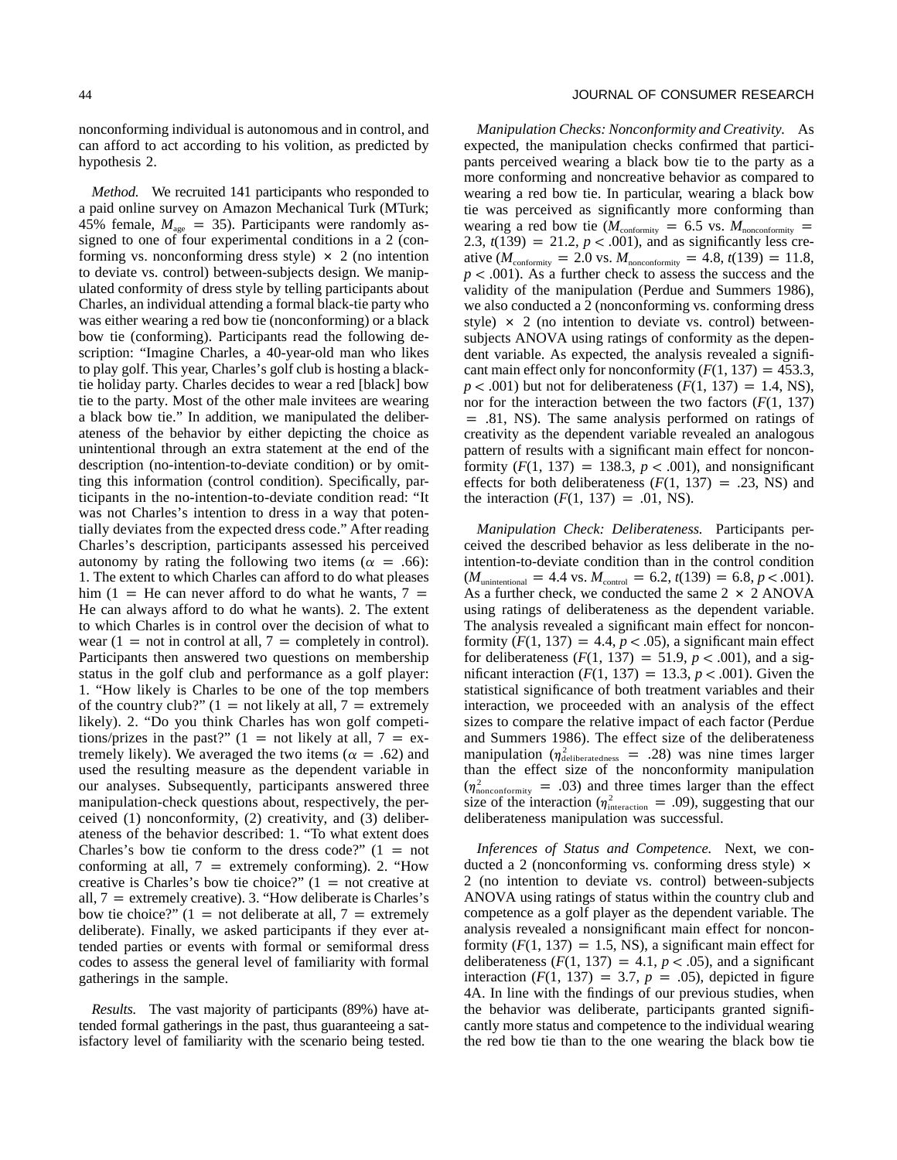nonconforming individual is autonomous and in control, and can afford to act according to his volition, as predicted by hypothesis 2.

*Method.* We recruited 141 participants who responded to a paid online survey on Amazon Mechanical Turk (MTurk; 45% female,  $M_{\text{age}} = 35$ ). Participants were randomly assigned to one of four experimental conditions in a 2 (conforming vs. nonconforming dress style)  $\times$  2 (no intention to deviate vs. control) between-subjects design. We manipulated conformity of dress style by telling participants about Charles, an individual attending a formal black-tie party who was either wearing a red bow tie (nonconforming) or a black bow tie (conforming). Participants read the following description: "Imagine Charles, a 40-year-old man who likes to play golf. This year, Charles's golf club is hosting a blacktie holiday party. Charles decides to wear a red [black] bow tie to the party. Most of the other male invitees are wearing a black bow tie." In addition, we manipulated the deliberateness of the behavior by either depicting the choice as unintentional through an extra statement at the end of the description (no-intention-to-deviate condition) or by omitting this information (control condition). Specifically, participants in the no-intention-to-deviate condition read: "It was not Charles's intention to dress in a way that potentially deviates from the expected dress code." After reading Charles's description, participants assessed his perceived autonomy by rating the following two items ( $\alpha = .66$ ): 1. The extent to which Charles can afford to do what pleases him (1 = He can never afford to do what he wants,  $7 =$ He can always afford to do what he wants). 2. The extent to which Charles is in control over the decision of what to wear  $(1 = \text{not in control at all}, 7 = \text{completely in control}).$ Participants then answered two questions on membership status in the golf club and performance as a golf player: 1. "How likely is Charles to be one of the top members of the country club?"  $(1 = \text{not likely at all}, 7 = \text{extremely})$ likely). 2. "Do you think Charles has won golf competitions/prizes in the past?"  $(1 =$  not likely at all,  $7 =$  extremely likely). We averaged the two items ( $\alpha = .62$ ) and used the resulting measure as the dependent variable in our analyses. Subsequently, participants answered three manipulation-check questions about, respectively, the perceived (1) nonconformity, (2) creativity, and (3) deliberateness of the behavior described: 1. "To what extent does Charles's bow tie conform to the dress code?"  $(1 = not$ conforming at all,  $7 =$  extremely conforming). 2. "How creative is Charles's bow tie choice?"  $(1 = not \text{ creative at})$ all,  $7 =$  extremely creative). 3. "How deliberate is Charles's bow tie choice?"  $(1 = \text{not}$  deliberate at all,  $7 = \text{extremely}$ deliberate). Finally, we asked participants if they ever attended parties or events with formal or semiformal dress codes to assess the general level of familiarity with formal gatherings in the sample.

*Results.* The vast majority of participants (89%) have attended formal gatherings in the past, thus guaranteeing a satisfactory level of familiarity with the scenario being tested.

#### 44 JOURNAL OF CONSUMER RESEARCH

*Manipulation Checks: Nonconformity and Creativity.* As expected, the manipulation checks confirmed that participants perceived wearing a black bow tie to the party as a more conforming and noncreative behavior as compared to wearing a red bow tie. In particular, wearing a black bow tie was perceived as significantly more conforming than wearing a red bow tie ( $M_{\text{conformity}} = 6.5$  vs.  $M_{\text{nonconformity}} =$ 2.3,  $t(139) = 21.2, p < .001$ , and as significantly less creative ( $M_{\text{conformity}} = 2.0$  vs.  $M_{\text{nonconformity}} = 4.8$ ,  $t(139) = 11.8$ ,  $p < .001$ ). As a further check to assess the success and the validity of the manipulation (Perdue and Summers 1986), we also conducted a 2 (nonconforming vs. conforming dress style)  $\times$  2 (no intention to deviate vs. control) betweensubjects ANOVA using ratings of conformity as the dependent variable. As expected, the analysis revealed a significant main effect only for nonconformity  $(F(1, 137) = 453.3,$  $p < .001$ ) but not for deliberateness ( $F(1, 137) = 1.4$ , NS), nor for the interaction between the two factors (*F*(1, 137)  $=$  .81, NS). The same analysis performed on ratings of creativity as the dependent variable revealed an analogous pattern of results with a significant main effect for nonconformity  $(F(1, 137) = 138.3, p < .001)$ , and nonsignificant effects for both deliberateness  $(F(1, 137) = .23, NS)$  and the interaction  $(F(1, 137) = .01, NS)$ .

*Manipulation Check: Deliberateness.* Participants perceived the described behavior as less deliberate in the nointention-to-deviate condition than in the control condition  $(M_{\text{unintentional}} = 4.4 \text{ vs. } M_{\text{control}} = 6.2, t(139) = 6.8, p < .001).$ As a further check, we conducted the same  $2 \times 2$  ANOVA using ratings of deliberateness as the dependent variable. The analysis revealed a significant main effect for nonconformity  $(F(1, 137)) = 4.4$ ,  $p < .05$ ), a significant main effect for deliberateness  $(F(1, 137) = 51.9, p < .001)$ , and a significant interaction  $(F(1, 137) = 13.3, p < .001)$ . Given the statistical significance of both treatment variables and their interaction, we proceeded with an analysis of the effect sizes to compare the relative impact of each factor (Perdue and Summers 1986). The effect size of the deliberateness manipulation ( $\eta_{\text{deliberateness}}^2$  = .28) was nine times larger than the effect size of the nonconformity manipulation  $(\eta_{\text{nonconformity}}^2 = .03)$  and three times larger than the effect size of the interaction ( $\eta_{\text{interaction}}^2$  = .09), suggesting that our deliberateness manipulation was successful.

*Inferences of Status and Competence.* Next, we conducted a 2 (nonconforming vs. conforming dress style)  $\times$ 2 (no intention to deviate vs. control) between-subjects ANOVA using ratings of status within the country club and competence as a golf player as the dependent variable. The analysis revealed a nonsignificant main effect for nonconformity  $(F(1, 137) = 1.5, NS)$ , a significant main effect for deliberateness  $(F(1, 137) = 4.1, p < .05)$ , and a significant interaction  $(F(1, 137) = 3.7, p = .05)$ , depicted in figure 4A. In line with the findings of our previous studies, when the behavior was deliberate, participants granted significantly more status and competence to the individual wearing the red bow tie than to the one wearing the black bow tie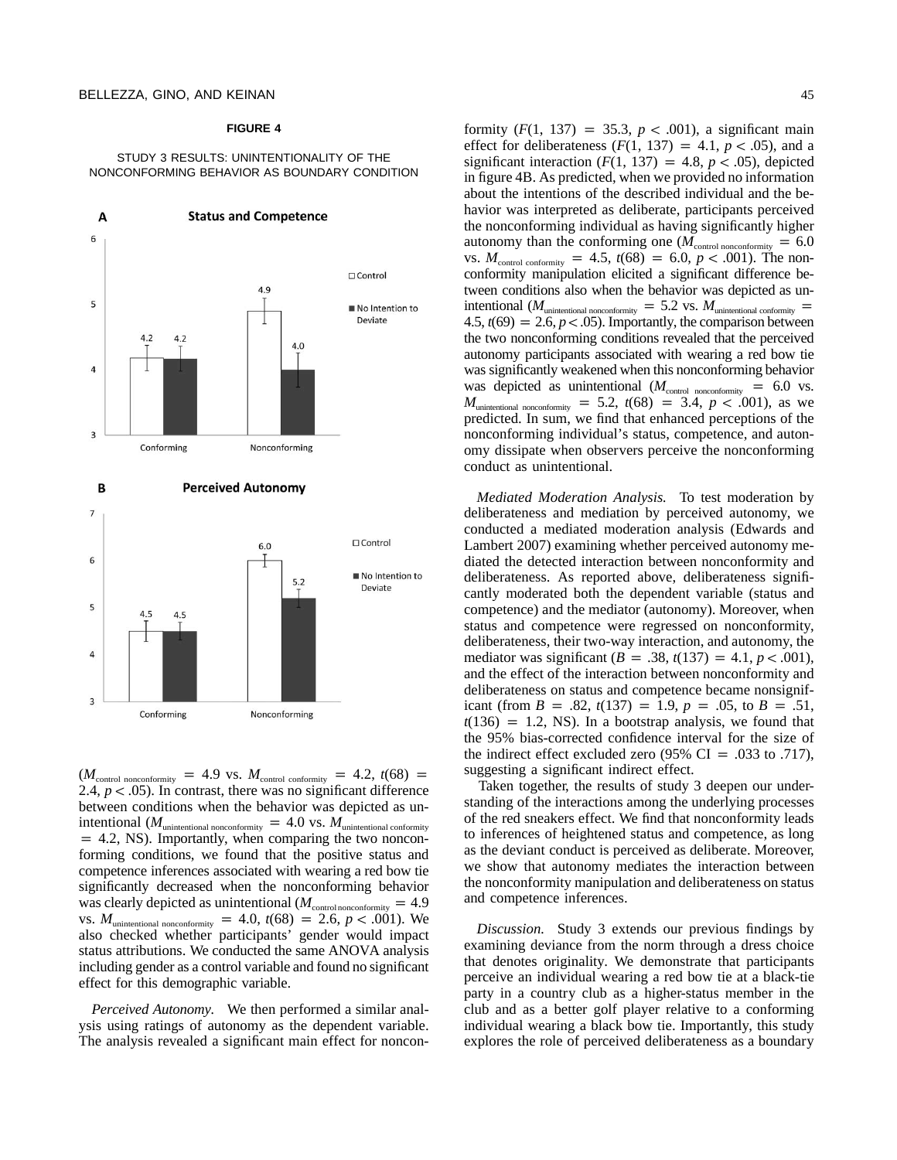#### **FIGURE 4**

#### STUDY 3 RESULTS: UNINTENTIONALITY OF THE NONCONFORMING BEHAVIOR AS BOUNDARY CONDITION



 $(M_{\text{control nonconformity}} = 4.9 \text{ vs. } M_{\text{control conformity}} = 4.2, t(68) =$ 2.4,  $p < .05$ ). In contrast, there was no significant difference between conditions when the behavior was depicted as unintentional ( $M_{\text{unintentional nonconformity}}$  = 4.0 vs.  $M_{\text{unintentional conformity}}$  $p = 4.2$ , NS). Importantly, when comparing the two nonconforming conditions, we found that the positive status and competence inferences associated with wearing a red bow tie significantly decreased when the nonconforming behavior was clearly depicted as unintentional ( $M_{\text{control nonconformity}} = 4.9$ vs.  $M_{\text{unintentional nonconformity}} = 4.0, t(68) = 2.6, p < .001$ . We also checked whether participants' gender would impact status attributions. We conducted the same ANOVA analysis including gender as a control variable and found no significant effect for this demographic variable.

*Perceived Autonomy.* We then performed a similar analysis using ratings of autonomy as the dependent variable. The analysis revealed a significant main effect for nonconformity  $(F(1, 137) = 35.3, p < .001)$ , a significant main effect for deliberateness  $(F(1, 137) = 4.1, p < .05)$ , and a significant interaction  $(F(1, 137)) = 4.8$ ,  $p < .05$ ), depicted in figure 4B. As predicted, when we provided no information about the intentions of the described individual and the behavior was interpreted as deliberate, participants perceived the nonconforming individual as having significantly higher autonomy than the conforming one ( $M_{\text{control nonconformity}} = 6.0$ vs.  $M_{\text{control conformity}} = 4.5$ ,  $t(68) = 6.0$ ,  $p < .001$ ). The nonconformity manipulation elicited a significant difference between conditions also when the behavior was depicted as unintentional ( $M_{\text{unintentional nonconformity}} = 5.2$  vs.  $M_{\text{unintentional conformity}} =$  $4.5$ ,  $t(69) = 2.6$ ,  $p < .05$ ). Importantly, the comparison between the two nonconforming conditions revealed that the perceived autonomy participants associated with wearing a red bow tie was significantly weakened when this nonconforming behavior was depicted as unintentional  $(M_{\text{control nonconformity}} = 6.0 \text{ vs.})$  $M_{\text{uninternal nonconformity}} = 5.2, t(68) = 3.4, p < .001$ , as we predicted. In sum, we find that enhanced perceptions of the nonconforming individual's status, competence, and autonomy dissipate when observers perceive the nonconforming conduct as unintentional.

*Mediated Moderation Analysis.* To test moderation by deliberateness and mediation by perceived autonomy, we conducted a mediated moderation analysis (Edwards and Lambert 2007) examining whether perceived autonomy mediated the detected interaction between nonconformity and deliberateness. As reported above, deliberateness significantly moderated both the dependent variable (status and competence) and the mediator (autonomy). Moreover, when status and competence were regressed on nonconformity, deliberateness, their two-way interaction, and autonomy, the mediator was significant ( $B = .38$ ,  $t(137) = 4.1$ ,  $p < .001$ ), and the effect of the interaction between nonconformity and deliberateness on status and competence became nonsignificant (from  $B = .82$ ,  $t(137) = 1.9$ ,  $p = .05$ , to  $B = .51$ ,  $t(136) = 1.2$ , NS). In a bootstrap analysis, we found that the 95% bias-corrected confidence interval for the size of the indirect effect excluded zero  $(95\% \text{ CI} = .033 \text{ to } .717)$ , suggesting a significant indirect effect.

Taken together, the results of study 3 deepen our understanding of the interactions among the underlying processes of the red sneakers effect. We find that nonconformity leads to inferences of heightened status and competence, as long as the deviant conduct is perceived as deliberate. Moreover, we show that autonomy mediates the interaction between the nonconformity manipulation and deliberateness on status and competence inferences.

*Discussion.* Study 3 extends our previous findings by examining deviance from the norm through a dress choice that denotes originality. We demonstrate that participants perceive an individual wearing a red bow tie at a black-tie party in a country club as a higher-status member in the club and as a better golf player relative to a conforming individual wearing a black bow tie. Importantly, this study explores the role of perceived deliberateness as a boundary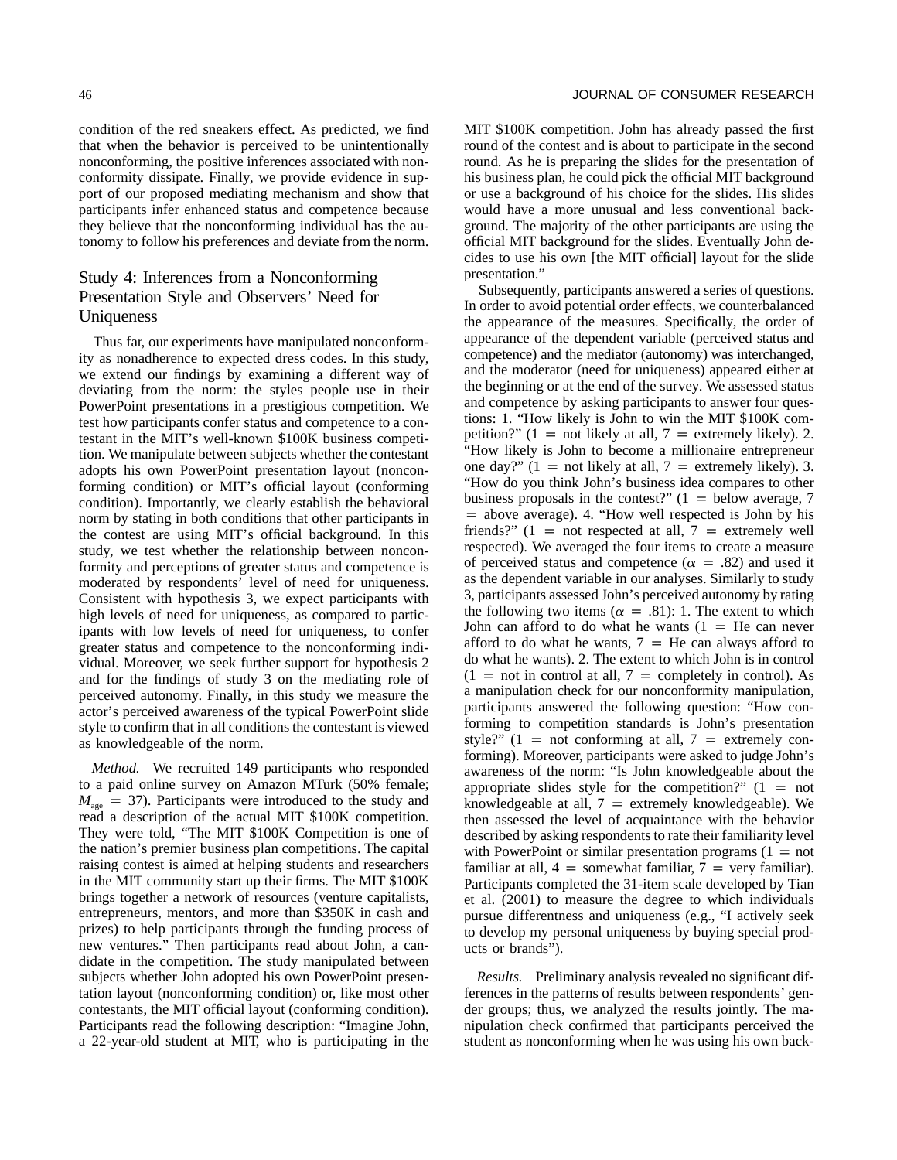condition of the red sneakers effect. As predicted, we find that when the behavior is perceived to be unintentionally nonconforming, the positive inferences associated with nonconformity dissipate. Finally, we provide evidence in support of our proposed mediating mechanism and show that participants infer enhanced status and competence because they believe that the nonconforming individual has the autonomy to follow his preferences and deviate from the norm.

# Study 4: Inferences from a Nonconforming Presentation Style and Observers' Need for Uniqueness

Thus far, our experiments have manipulated nonconformity as nonadherence to expected dress codes. In this study, we extend our findings by examining a different way of deviating from the norm: the styles people use in their PowerPoint presentations in a prestigious competition. We test how participants confer status and competence to a contestant in the MIT's well-known \$100K business competition. We manipulate between subjects whether the contestant adopts his own PowerPoint presentation layout (nonconforming condition) or MIT's official layout (conforming condition). Importantly, we clearly establish the behavioral norm by stating in both conditions that other participants in the contest are using MIT's official background. In this study, we test whether the relationship between nonconformity and perceptions of greater status and competence is moderated by respondents' level of need for uniqueness. Consistent with hypothesis 3, we expect participants with high levels of need for uniqueness, as compared to participants with low levels of need for uniqueness, to confer greater status and competence to the nonconforming individual. Moreover, we seek further support for hypothesis 2 and for the findings of study 3 on the mediating role of perceived autonomy. Finally, in this study we measure the actor's perceived awareness of the typical PowerPoint slide style to confirm that in all conditions the contestant is viewed as knowledgeable of the norm.

*Method.* We recruited 149 participants who responded to a paid online survey on Amazon MTurk (50% female;  $M_{\text{age}} = 37$ ). Participants were introduced to the study and read a description of the actual MIT \$100K competition. They were told, "The MIT \$100K Competition is one of the nation's premier business plan competitions. The capital raising contest is aimed at helping students and researchers in the MIT community start up their firms. The MIT \$100K brings together a network of resources (venture capitalists, entrepreneurs, mentors, and more than \$350K in cash and prizes) to help participants through the funding process of new ventures." Then participants read about John, a candidate in the competition. The study manipulated between subjects whether John adopted his own PowerPoint presentation layout (nonconforming condition) or, like most other contestants, the MIT official layout (conforming condition). Participants read the following description: "Imagine John, a 22-year-old student at MIT, who is participating in the MIT \$100K competition. John has already passed the first round of the contest and is about to participate in the second round. As he is preparing the slides for the presentation of his business plan, he could pick the official MIT background or use a background of his choice for the slides. His slides would have a more unusual and less conventional background. The majority of the other participants are using the official MIT background for the slides. Eventually John decides to use his own [the MIT official] layout for the slide presentation."

Subsequently, participants answered a series of questions. In order to avoid potential order effects, we counterbalanced the appearance of the measures. Specifically, the order of appearance of the dependent variable (perceived status and competence) and the mediator (autonomy) was interchanged, and the moderator (need for uniqueness) appeared either at the beginning or at the end of the survey. We assessed status and competence by asking participants to answer four questions: 1. "How likely is John to win the MIT \$100K competition?"  $(1 = not likely at all, 7 = extremely likely)$ . 2. "How likely is John to become a millionaire entrepreneur one day?"  $(1 = not likely at all, 7 = extremely likely).$  3. "How do you think John's business idea compares to other business proposals in the contest?"  $(1 =$  below average, 7  $=$  above average). 4. "How well respected is John by his friends?"  $(1 = not respected at all, 7 = extremely well)$ respected). We averaged the four items to create a measure of perceived status and competence ( $\alpha = .82$ ) and used it as the dependent variable in our analyses. Similarly to study 3, participants assessed John's perceived autonomy by rating the following two items ( $\alpha = .81$ ): 1. The extent to which John can afford to do what he wants  $(1 = He \text{ can never})$ afford to do what he wants,  $7 = He$  can always afford to do what he wants). 2. The extent to which John is in control  $(1 =$  not in control at all,  $7 =$  completely in control). As a manipulation check for our nonconformity manipulation, participants answered the following question: "How conforming to competition standards is John's presentation style?"  $(1 = not conforming at all, 7 = extremely con$ forming). Moreover, participants were asked to judge John's awareness of the norm: "Is John knowledgeable about the appropriate slides style for the competition?"  $(1 = not$ knowledgeable at all,  $7 =$  extremely knowledgeable). We then assessed the level of acquaintance with the behavior described by asking respondents to rate their familiarity level with PowerPoint or similar presentation programs  $(1 = not$ familiar at all,  $4 =$  somewhat familiar,  $7 =$  very familiar). Participants completed the 31-item scale developed by Tian et al. (2001) to measure the degree to which individuals pursue differentness and uniqueness (e.g., "I actively seek to develop my personal uniqueness by buying special products or brands").

*Results.* Preliminary analysis revealed no significant differences in the patterns of results between respondents' gender groups; thus, we analyzed the results jointly. The manipulation check confirmed that participants perceived the student as nonconforming when he was using his own back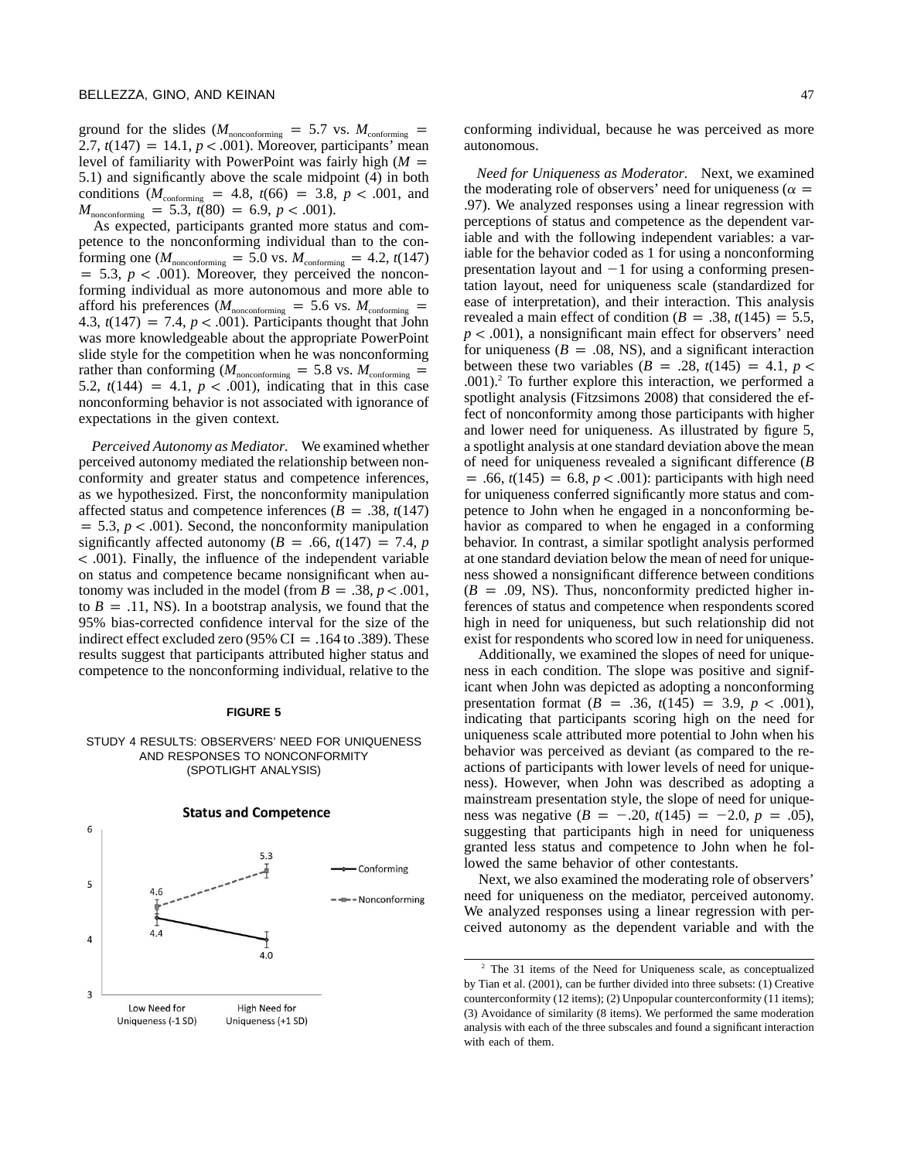ground for the slides ( $M_{\text{nonconforming}} = 5.7$  vs.  $M_{\text{conforming}} =$ 2.7,  $t(147) = 14.1, p < .001$ ). Moreover, participants' mean level of familiarity with PowerPoint was fairly high  $(M =$ 5.1) and significantly above the scale midpoint (4) in both conditions ( $M_{\text{conforming}} = 4.8$ ,  $t(66) = 3.8$ ,  $p < .001$ , and  $M_{\text{nonconforming}} = 5.3, t(80) = 6.9, p < .001$ .

As expected, participants granted more status and competence to the nonconforming individual than to the conforming one ( $M_{\text{nonconforming}} = 5.0$  vs.  $M_{\text{conforming}} = 4.2$ ,  $t(147)$  $p = 5.3$ ,  $p < .001$ ). Moreover, they perceived the nonconforming individual as more autonomous and more able to afford his preferences ( $M_{\text{nonconforming}} = 5.6$  vs.  $M_{\text{conforming}} =$ 4.3,  $t(147) = 7.4$ ,  $p < .001$ ). Participants thought that John was more knowledgeable about the appropriate PowerPoint slide style for the competition when he was nonconforming rather than conforming ( $M_{\text{nonconforming}} = 5.8$  vs.  $M_{\text{conforming}} =$ 5.2,  $t(144) = 4.1, p < .001$ , indicating that in this case nonconforming behavior is not associated with ignorance of expectations in the given context.

*Perceived Autonomy as Mediator.* We examined whether perceived autonomy mediated the relationship between nonconformity and greater status and competence inferences, as we hypothesized. First, the nonconformity manipulation affected status and competence inferences  $(B = .38, t(147))$  $p = 5.3$ ,  $p < .001$ ). Second, the nonconformity manipulation significantly affected autonomy ( $B = .66$ ,  $t(147) = 7.4$ , *p*  $\langle 0.001 \rangle$ . Finally, the influence of the independent variable on status and competence became nonsignificant when autonomy was included in the model (from  $B = .38$ ,  $p < .001$ , to  $B = .11$ , NS). In a bootstrap analysis, we found that the 95% bias-corrected confidence interval for the size of the indirect effect excluded zero (95% CI = .164 to .389). These results suggest that participants attributed higher status and competence to the nonconforming individual, relative to the

#### **FIGURE 5**

#### STUDY 4 RESULTS: OBSERVERS' NEED FOR UNIQUENESS AND RESPONSES TO NONCONFORMITY (SPOTLIGHT ANALYSIS)



conforming individual, because he was perceived as more autonomous.

*Need for Uniqueness as Moderator.* Next, we examined the moderating role of observers' need for uniqueness ( $\alpha =$ .97). We analyzed responses using a linear regression with perceptions of status and competence as the dependent variable and with the following independent variables: a variable for the behavior coded as 1 for using a nonconforming presentation layout and  $-1$  for using a conforming presentation layout, need for uniqueness scale (standardized for ease of interpretation), and their interaction. This analysis revealed a main effect of condition ( $B = .38$ ,  $t(145) = 5.5$ ,  $p < .001$ ), a nonsignificant main effect for observers' need for uniqueness  $(B = .08, NS)$ , and a significant interaction between these two variables  $(B = .28, t(145) = 4.1, p <$  $.001$ ).<sup>2</sup> To further explore this interaction, we performed a spotlight analysis (Fitzsimons 2008) that considered the effect of nonconformity among those participants with higher and lower need for uniqueness. As illustrated by figure 5, a spotlight analysis at one standard deviation above the mean of need for uniqueness revealed a significant difference (*B*  $p = .66$ ,  $t(145) = 6.8$ ,  $p < .001$ : participants with high need for uniqueness conferred significantly more status and competence to John when he engaged in a nonconforming behavior as compared to when he engaged in a conforming behavior. In contrast, a similar spotlight analysis performed at one standard deviation below the mean of need for uniqueness showed a nonsignificant difference between conditions  $(B = .09, NS)$ . Thus, nonconformity predicted higher inferences of status and competence when respondents scored high in need for uniqueness, but such relationship did not exist for respondents who scored low in need for uniqueness.

Additionally, we examined the slopes of need for uniqueness in each condition. The slope was positive and significant when John was depicted as adopting a nonconforming presentation format ( $B = .36$ ,  $t(145) = 3.9$ ,  $p < .001$ ), indicating that participants scoring high on the need for uniqueness scale attributed more potential to John when his behavior was perceived as deviant (as compared to the reactions of participants with lower levels of need for uniqueness). However, when John was described as adopting a mainstream presentation style, the slope of need for uniqueness was negative  $(B = -.20, t(145) = -2.0, p = .05)$ , suggesting that participants high in need for uniqueness granted less status and competence to John when he followed the same behavior of other contestants.

Next, we also examined the moderating role of observers' need for uniqueness on the mediator, perceived autonomy. We analyzed responses using a linear regression with perceived autonomy as the dependent variable and with the

<sup>2</sup> The 31 items of the Need for Uniqueness scale, as conceptualized by Tian et al. (2001), can be further divided into three subsets: (1) Creative counterconformity (12 items); (2) Unpopular counterconformity (11 items); (3) Avoidance of similarity (8 items). We performed the same moderation analysis with each of the three subscales and found a significant interaction with each of them.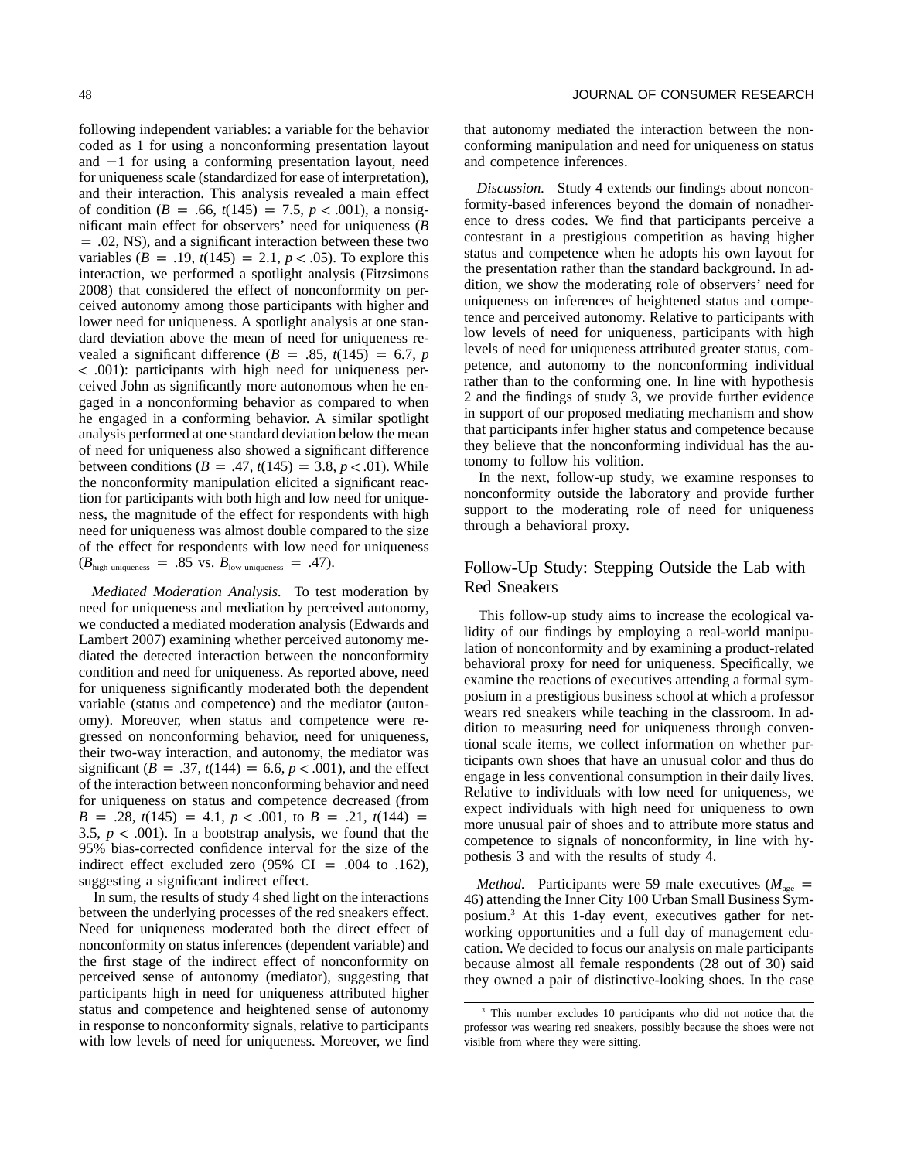following independent variables: a variable for the behavior coded as 1 for using a nonconforming presentation layout and -1 for using a conforming presentation layout, need for uniqueness scale (standardized for ease of interpretation), and their interaction. This analysis revealed a main effect of condition ( $B = .66$ ,  $t(145) = 7.5$ ,  $p < .001$ ), a nonsignificant main effect for observers' need for uniqueness (*B*  $p = 0.02$ , NS), and a significant interaction between these two variables  $(B = .19, t(145) = 2.1, p < .05)$ . To explore this interaction, we performed a spotlight analysis (Fitzsimons 2008) that considered the effect of nonconformity on perceived autonomy among those participants with higher and lower need for uniqueness. A spotlight analysis at one standard deviation above the mean of need for uniqueness revealed a significant difference  $(B = .85, t(145) = 6.7, p$ ! .001): participants with high need for uniqueness perceived John as significantly more autonomous when he engaged in a nonconforming behavior as compared to when he engaged in a conforming behavior. A similar spotlight analysis performed at one standard deviation below the mean of need for uniqueness also showed a significant difference between conditions ( $B = .47$ ,  $t(145) = 3.8$ ,  $p < .01$ ). While the nonconformity manipulation elicited a significant reaction for participants with both high and low need for uniqueness, the magnitude of the effect for respondents with high need for uniqueness was almost double compared to the size of the effect for respondents with low need for uniqueness  $(B_{\text{high uniqueness}} = .85 \text{ vs. } B_{\text{low uniqueness}} = .47).$ 

*Mediated Moderation Analysis.* To test moderation by need for uniqueness and mediation by perceived autonomy, we conducted a mediated moderation analysis (Edwards and Lambert 2007) examining whether perceived autonomy mediated the detected interaction between the nonconformity condition and need for uniqueness. As reported above, need for uniqueness significantly moderated both the dependent variable (status and competence) and the mediator (autonomy). Moreover, when status and competence were regressed on nonconforming behavior, need for uniqueness, their two-way interaction, and autonomy, the mediator was significant ( $B = .37$ ,  $t(144) = 6.6$ ,  $p < .001$ ), and the effect of the interaction between nonconforming behavior and need for uniqueness on status and competence decreased (from  $B = .28$ ,  $t(145) = 4.1$ ,  $p < .001$ , to  $B = .21$ ,  $t(144) =$ 3.5,  $p < .001$ ). In a bootstrap analysis, we found that the 95% bias-corrected confidence interval for the size of the indirect effect excluded zero  $(95\% \text{ CI} = .004 \text{ to } .162)$ , suggesting a significant indirect effect.

In sum, the results of study 4 shed light on the interactions between the underlying processes of the red sneakers effect. Need for uniqueness moderated both the direct effect of nonconformity on status inferences (dependent variable) and the first stage of the indirect effect of nonconformity on perceived sense of autonomy (mediator), suggesting that participants high in need for uniqueness attributed higher status and competence and heightened sense of autonomy in response to nonconformity signals, relative to participants with low levels of need for uniqueness. Moreover, we find that autonomy mediated the interaction between the nonconforming manipulation and need for uniqueness on status and competence inferences.

*Discussion.* Study 4 extends our findings about nonconformity-based inferences beyond the domain of nonadherence to dress codes. We find that participants perceive a contestant in a prestigious competition as having higher status and competence when he adopts his own layout for the presentation rather than the standard background. In addition, we show the moderating role of observers' need for uniqueness on inferences of heightened status and competence and perceived autonomy. Relative to participants with low levels of need for uniqueness, participants with high levels of need for uniqueness attributed greater status, competence, and autonomy to the nonconforming individual rather than to the conforming one. In line with hypothesis 2 and the findings of study 3, we provide further evidence in support of our proposed mediating mechanism and show that participants infer higher status and competence because they believe that the nonconforming individual has the autonomy to follow his volition.

In the next, follow-up study, we examine responses to nonconformity outside the laboratory and provide further support to the moderating role of need for uniqueness through a behavioral proxy.

## Follow-Up Study: Stepping Outside the Lab with Red Sneakers

This follow-up study aims to increase the ecological validity of our findings by employing a real-world manipulation of nonconformity and by examining a product-related behavioral proxy for need for uniqueness. Specifically, we examine the reactions of executives attending a formal symposium in a prestigious business school at which a professor wears red sneakers while teaching in the classroom. In addition to measuring need for uniqueness through conventional scale items, we collect information on whether participants own shoes that have an unusual color and thus do engage in less conventional consumption in their daily lives. Relative to individuals with low need for uniqueness, we expect individuals with high need for uniqueness to own more unusual pair of shoes and to attribute more status and competence to signals of nonconformity, in line with hypothesis 3 and with the results of study 4.

*Method.* Participants were 59 male executives ( $M_{\text{age}}$  = 46) attending the Inner City 100 Urban Small Business Symposium.3 At this 1-day event, executives gather for networking opportunities and a full day of management education. We decided to focus our analysis on male participants because almost all female respondents (28 out of 30) said they owned a pair of distinctive-looking shoes. In the case

This number excludes 10 participants who did not notice that the professor was wearing red sneakers, possibly because the shoes were not visible from where they were sitting.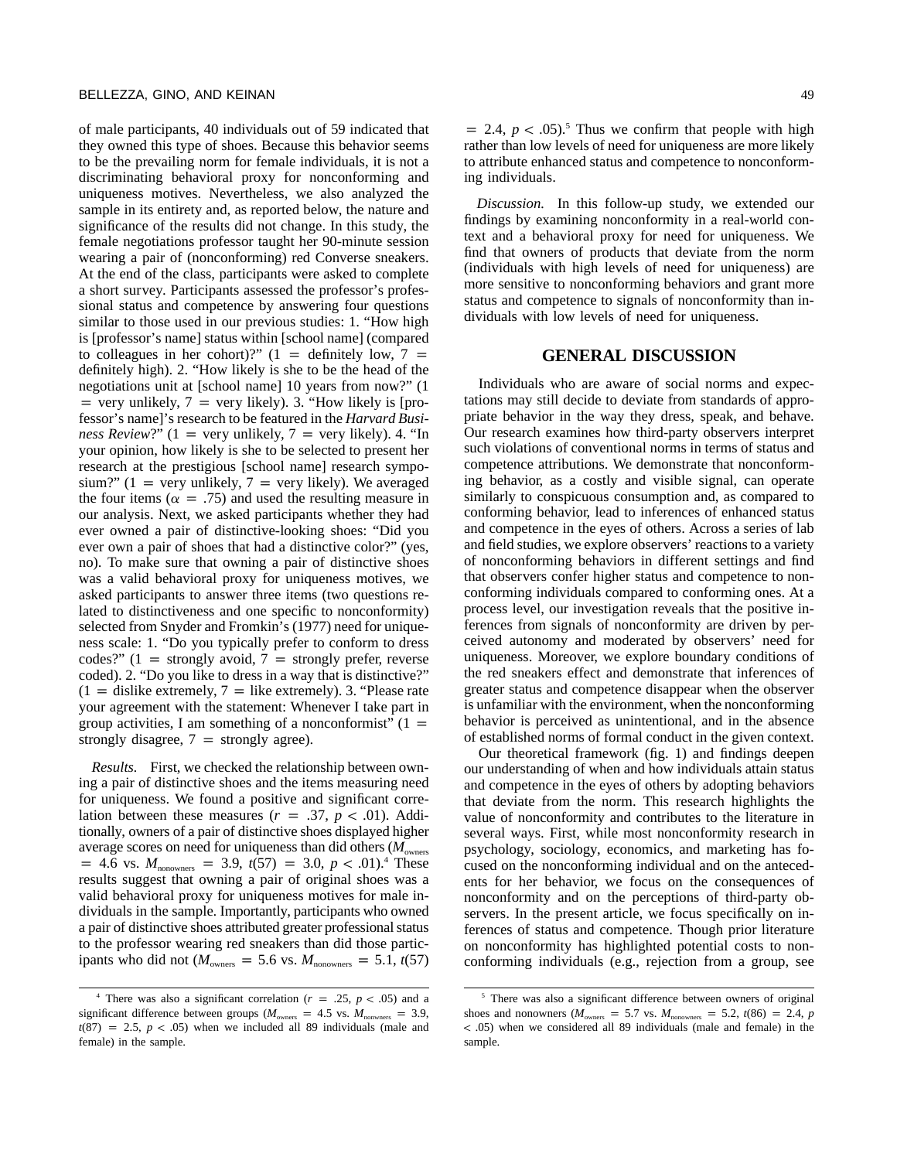of male participants, 40 individuals out of 59 indicated that they owned this type of shoes. Because this behavior seems to be the prevailing norm for female individuals, it is not a discriminating behavioral proxy for nonconforming and uniqueness motives. Nevertheless, we also analyzed the sample in its entirety and, as reported below, the nature and significance of the results did not change. In this study, the female negotiations professor taught her 90-minute session wearing a pair of (nonconforming) red Converse sneakers. At the end of the class, participants were asked to complete a short survey. Participants assessed the professor's professional status and competence by answering four questions similar to those used in our previous studies: 1. "How high is [professor's name] status within [school name] (compared to colleagues in her cohort)?" (1 = definitely low, 7 = definitely high). 2. "How likely is she to be the head of the negotiations unit at [school name] 10 years from now?" (1  $=$  very unlikely,  $7$  = very likely). 3. "How likely is [professor's name]'s research to be featured in the *Harvard Business Review?*"  $(1 = \text{very unlikely}, 7 = \text{very likely})$ . 4. "In your opinion, how likely is she to be selected to present her research at the prestigious [school name] research symposium?" (1 = very unlikely, 7 = very likely). We averaged the four items ( $\alpha = .75$ ) and used the resulting measure in our analysis. Next, we asked participants whether they had ever owned a pair of distinctive-looking shoes: "Did you ever own a pair of shoes that had a distinctive color?" (yes, no). To make sure that owning a pair of distinctive shoes was a valid behavioral proxy for uniqueness motives, we asked participants to answer three items (two questions related to distinctiveness and one specific to nonconformity) selected from Snyder and Fromkin's (1977) need for uniqueness scale: 1. "Do you typically prefer to conform to dress codes?"  $(1 =$  strongly avoid,  $7 =$  strongly prefer, reverse coded). 2. "Do you like to dress in a way that is distinctive?"  $(1 =$  dislike extremely,  $7 =$  like extremely). 3. "Please rate your agreement with the statement: Whenever I take part in group activities, I am something of a nonconformist"  $(1 =$ strongly disagree,  $7 =$  strongly agree).

*Results.* First, we checked the relationship between owning a pair of distinctive shoes and the items measuring need for uniqueness. We found a positive and significant correlation between these measures  $(r = .37, p < .01)$ . Additionally, owners of a pair of distinctive shoes displayed higher average scores on need for uniqueness than did others ( $M_{\text{owners)$  $= 4.6$  vs.  $M_{\text{nonowners}} = 3.9, t(57) = 3.0, p < .01$ .<sup>4</sup> These results suggest that owning a pair of original shoes was a valid behavioral proxy for uniqueness motives for male individuals in the sample. Importantly, participants who owned a pair of distinctive shoes attributed greater professional status to the professor wearing red sneakers than did those participants who did not ( $M_{\text{owners}} = 5.6$  vs.  $M_{\text{nonowners}} = 5.1$ , *t*(57)

 $p = 2.4$ ,  $p < .05$ ).<sup>5</sup> Thus we confirm that people with high rather than low levels of need for uniqueness are more likely to attribute enhanced status and competence to nonconforming individuals.

*Discussion.* In this follow-up study, we extended our findings by examining nonconformity in a real-world context and a behavioral proxy for need for uniqueness. We find that owners of products that deviate from the norm (individuals with high levels of need for uniqueness) are more sensitive to nonconforming behaviors and grant more status and competence to signals of nonconformity than individuals with low levels of need for uniqueness.

#### **GENERAL DISCUSSION**

Individuals who are aware of social norms and expectations may still decide to deviate from standards of appropriate behavior in the way they dress, speak, and behave. Our research examines how third-party observers interpret such violations of conventional norms in terms of status and competence attributions. We demonstrate that nonconforming behavior, as a costly and visible signal, can operate similarly to conspicuous consumption and, as compared to conforming behavior, lead to inferences of enhanced status and competence in the eyes of others. Across a series of lab and field studies, we explore observers' reactions to a variety of nonconforming behaviors in different settings and find that observers confer higher status and competence to nonconforming individuals compared to conforming ones. At a process level, our investigation reveals that the positive inferences from signals of nonconformity are driven by perceived autonomy and moderated by observers' need for uniqueness. Moreover, we explore boundary conditions of the red sneakers effect and demonstrate that inferences of greater status and competence disappear when the observer is unfamiliar with the environment, when the nonconforming behavior is perceived as unintentional, and in the absence of established norms of formal conduct in the given context.

Our theoretical framework (fig. 1) and findings deepen our understanding of when and how individuals attain status and competence in the eyes of others by adopting behaviors that deviate from the norm. This research highlights the value of nonconformity and contributes to the literature in several ways. First, while most nonconformity research in psychology, sociology, economics, and marketing has focused on the nonconforming individual and on the antecedents for her behavior, we focus on the consequences of nonconformity and on the perceptions of third-party observers. In the present article, we focus specifically on inferences of status and competence. Though prior literature on nonconformity has highlighted potential costs to nonconforming individuals (e.g., rejection from a group, see

There was also a significant correlation ( $r = .25$ ,  $p < .05$ ) and a significant difference between groups ( $M_{\text{owners}} = 4.5$  vs.  $M_{\text{nonwners}} = 3.9$ ,  $t(87) = 2.5, p < .05$ ) when we included all 89 individuals (male and female) in the sample.

<sup>&</sup>lt;sup>5</sup> There was also a significant difference between owners of original shoes and nonowners ( $M_{\text{owners}} = 5.7$  vs.  $M_{\text{nonowners}} = 5.2$ ,  $t(86) = 2.4$ , *p* ! .05) when we considered all 89 individuals (male and female) in the sample.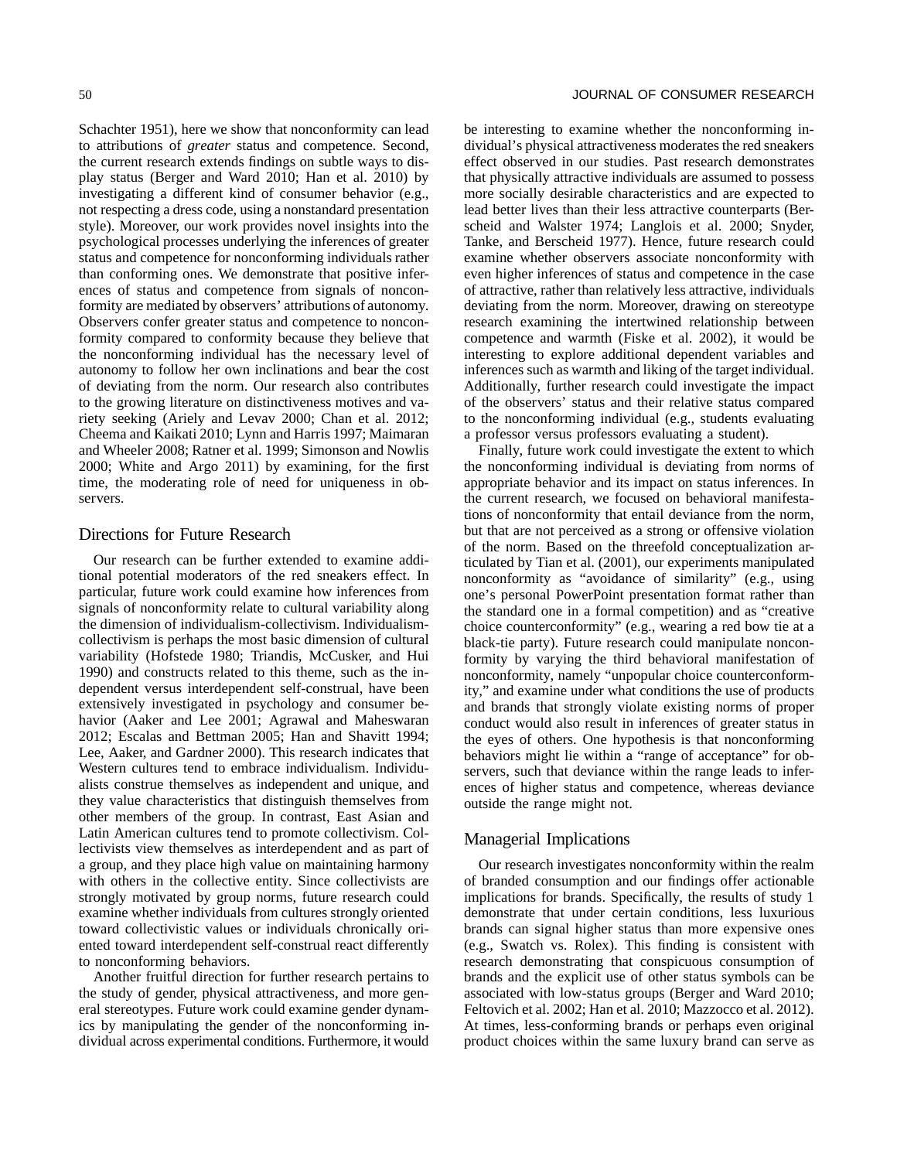Schachter 1951), here we show that nonconformity can lead to attributions of *greater* status and competence. Second, the current research extends findings on subtle ways to display status (Berger and Ward 2010; Han et al. 2010) by investigating a different kind of consumer behavior (e.g., not respecting a dress code, using a nonstandard presentation style). Moreover, our work provides novel insights into the psychological processes underlying the inferences of greater status and competence for nonconforming individuals rather than conforming ones. We demonstrate that positive inferences of status and competence from signals of nonconformity are mediated by observers' attributions of autonomy. Observers confer greater status and competence to nonconformity compared to conformity because they believe that the nonconforming individual has the necessary level of autonomy to follow her own inclinations and bear the cost of deviating from the norm. Our research also contributes to the growing literature on distinctiveness motives and variety seeking (Ariely and Levav 2000; Chan et al. 2012; Cheema and Kaikati 2010; Lynn and Harris 1997; Maimaran and Wheeler 2008; Ratner et al. 1999; Simonson and Nowlis 2000; White and Argo 2011) by examining, for the first time, the moderating role of need for uniqueness in observers.

#### Directions for Future Research

Our research can be further extended to examine additional potential moderators of the red sneakers effect. In particular, future work could examine how inferences from signals of nonconformity relate to cultural variability along the dimension of individualism-collectivism. Individualismcollectivism is perhaps the most basic dimension of cultural variability (Hofstede 1980; Triandis, McCusker, and Hui 1990) and constructs related to this theme, such as the independent versus interdependent self-construal, have been extensively investigated in psychology and consumer behavior (Aaker and Lee 2001; Agrawal and Maheswaran 2012; Escalas and Bettman 2005; Han and Shavitt 1994; Lee, Aaker, and Gardner 2000). This research indicates that Western cultures tend to embrace individualism. Individualists construe themselves as independent and unique, and they value characteristics that distinguish themselves from other members of the group. In contrast, East Asian and Latin American cultures tend to promote collectivism. Collectivists view themselves as interdependent and as part of a group, and they place high value on maintaining harmony with others in the collective entity. Since collectivists are strongly motivated by group norms, future research could examine whether individuals from cultures strongly oriented toward collectivistic values or individuals chronically oriented toward interdependent self-construal react differently to nonconforming behaviors.

Another fruitful direction for further research pertains to the study of gender, physical attractiveness, and more general stereotypes. Future work could examine gender dynamics by manipulating the gender of the nonconforming individual across experimental conditions. Furthermore, it would be interesting to examine whether the nonconforming individual's physical attractiveness moderates the red sneakers effect observed in our studies. Past research demonstrates that physically attractive individuals are assumed to possess more socially desirable characteristics and are expected to lead better lives than their less attractive counterparts (Berscheid and Walster 1974; Langlois et al. 2000; Snyder, Tanke, and Berscheid 1977). Hence, future research could examine whether observers associate nonconformity with even higher inferences of status and competence in the case of attractive, rather than relatively less attractive, individuals deviating from the norm. Moreover, drawing on stereotype research examining the intertwined relationship between competence and warmth (Fiske et al. 2002), it would be interesting to explore additional dependent variables and inferences such as warmth and liking of the target individual. Additionally, further research could investigate the impact of the observers' status and their relative status compared to the nonconforming individual (e.g., students evaluating a professor versus professors evaluating a student).

Finally, future work could investigate the extent to which the nonconforming individual is deviating from norms of appropriate behavior and its impact on status inferences. In the current research, we focused on behavioral manifestations of nonconformity that entail deviance from the norm, but that are not perceived as a strong or offensive violation of the norm. Based on the threefold conceptualization articulated by Tian et al. (2001), our experiments manipulated nonconformity as "avoidance of similarity" (e.g., using one's personal PowerPoint presentation format rather than the standard one in a formal competition) and as "creative choice counterconformity" (e.g., wearing a red bow tie at a black-tie party). Future research could manipulate nonconformity by varying the third behavioral manifestation of nonconformity, namely "unpopular choice counterconformity," and examine under what conditions the use of products and brands that strongly violate existing norms of proper conduct would also result in inferences of greater status in the eyes of others. One hypothesis is that nonconforming behaviors might lie within a "range of acceptance" for observers, such that deviance within the range leads to inferences of higher status and competence, whereas deviance outside the range might not.

## Managerial Implications

Our research investigates nonconformity within the realm of branded consumption and our findings offer actionable implications for brands. Specifically, the results of study 1 demonstrate that under certain conditions, less luxurious brands can signal higher status than more expensive ones (e.g., Swatch vs. Rolex). This finding is consistent with research demonstrating that conspicuous consumption of brands and the explicit use of other status symbols can be associated with low-status groups (Berger and Ward 2010; Feltovich et al. 2002; Han et al. 2010; Mazzocco et al. 2012). At times, less-conforming brands or perhaps even original product choices within the same luxury brand can serve as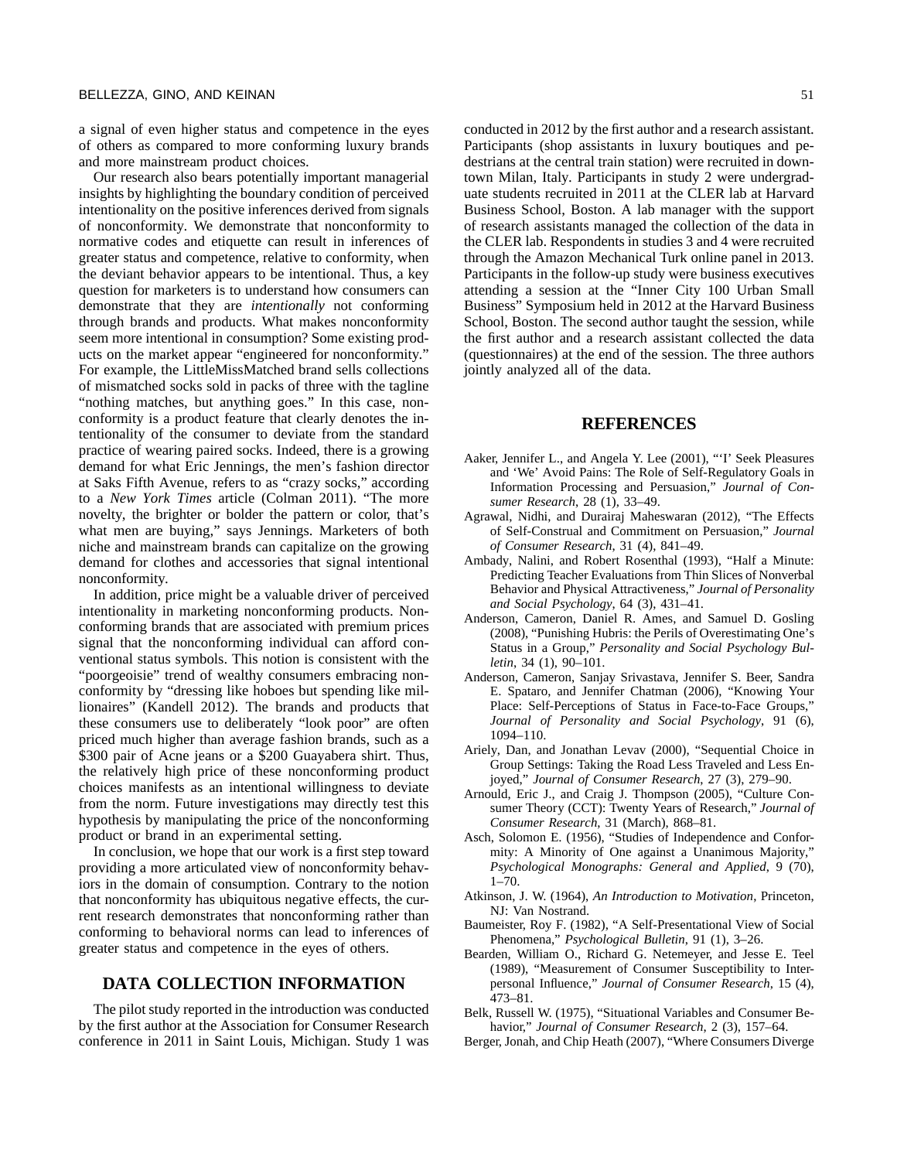a signal of even higher status and competence in the eyes of others as compared to more conforming luxury brands and more mainstream product choices.

Our research also bears potentially important managerial insights by highlighting the boundary condition of perceived intentionality on the positive inferences derived from signals of nonconformity. We demonstrate that nonconformity to normative codes and etiquette can result in inferences of greater status and competence, relative to conformity, when the deviant behavior appears to be intentional. Thus, a key question for marketers is to understand how consumers can demonstrate that they are *intentionally* not conforming through brands and products. What makes nonconformity seem more intentional in consumption? Some existing products on the market appear "engineered for nonconformity." For example, the LittleMissMatched brand sells collections of mismatched socks sold in packs of three with the tagline "nothing matches, but anything goes." In this case, nonconformity is a product feature that clearly denotes the intentionality of the consumer to deviate from the standard practice of wearing paired socks. Indeed, there is a growing demand for what Eric Jennings, the men's fashion director at Saks Fifth Avenue, refers to as "crazy socks," according to a *New York Times* article (Colman 2011). "The more novelty, the brighter or bolder the pattern or color, that's what men are buying," says Jennings. Marketers of both niche and mainstream brands can capitalize on the growing demand for clothes and accessories that signal intentional nonconformity.

In addition, price might be a valuable driver of perceived intentionality in marketing nonconforming products. Nonconforming brands that are associated with premium prices signal that the nonconforming individual can afford conventional status symbols. This notion is consistent with the "poorgeoisie" trend of wealthy consumers embracing nonconformity by "dressing like hoboes but spending like millionaires" (Kandell 2012). The brands and products that these consumers use to deliberately "look poor" are often priced much higher than average fashion brands, such as a \$300 pair of Acne jeans or a \$200 Guayabera shirt. Thus, the relatively high price of these nonconforming product choices manifests as an intentional willingness to deviate from the norm. Future investigations may directly test this hypothesis by manipulating the price of the nonconforming product or brand in an experimental setting.

In conclusion, we hope that our work is a first step toward providing a more articulated view of nonconformity behaviors in the domain of consumption. Contrary to the notion that nonconformity has ubiquitous negative effects, the current research demonstrates that nonconforming rather than conforming to behavioral norms can lead to inferences of greater status and competence in the eyes of others.

# **DATA COLLECTION INFORMATION**

The pilot study reported in the introduction was conducted by the first author at the Association for Consumer Research conference in 2011 in Saint Louis, Michigan. Study 1 was conducted in 2012 by the first author and a research assistant. Participants (shop assistants in luxury boutiques and pedestrians at the central train station) were recruited in downtown Milan, Italy. Participants in study 2 were undergraduate students recruited in 2011 at the CLER lab at Harvard Business School, Boston. A lab manager with the support of research assistants managed the collection of the data in the CLER lab. Respondents in studies 3 and 4 were recruited through the Amazon Mechanical Turk online panel in 2013. Participants in the follow-up study were business executives attending a session at the "Inner City 100 Urban Small Business" Symposium held in 2012 at the Harvard Business School, Boston. The second author taught the session, while the first author and a research assistant collected the data

#### **REFERENCES**

(questionnaires) at the end of the session. The three authors

jointly analyzed all of the data.

- Aaker, Jennifer L., and Angela Y. Lee (2001), "'I' Seek Pleasures and 'We' Avoid Pains: The Role of Self-Regulatory Goals in Information Processing and Persuasion," *Journal of Consumer Research*, 28 (1), 33–49.
- Agrawal, Nidhi, and Durairaj Maheswaran (2012), "The Effects of Self-Construal and Commitment on Persuasion," *Journal of Consumer Research*, 31 (4), 841–49.
- Ambady, Nalini, and Robert Rosenthal (1993), "Half a Minute: Predicting Teacher Evaluations from Thin Slices of Nonverbal Behavior and Physical Attractiveness," *Journal of Personality and Social Psychology*, 64 (3), 431–41.
- Anderson, Cameron, Daniel R. Ames, and Samuel D. Gosling (2008), "Punishing Hubris: the Perils of Overestimating One's Status in a Group," *Personality and Social Psychology Bulletin*, 34 (1), 90–101.
- Anderson, Cameron, Sanjay Srivastava, Jennifer S. Beer, Sandra E. Spataro, and Jennifer Chatman (2006), "Knowing Your Place: Self-Perceptions of Status in Face-to-Face Groups," *Journal of Personality and Social Psychology*, 91 (6), 1094–110.
- Ariely, Dan, and Jonathan Levav (2000), "Sequential Choice in Group Settings: Taking the Road Less Traveled and Less Enjoyed," *Journal of Consumer Research*, 27 (3), 279–90.
- Arnould, Eric J., and Craig J. Thompson (2005), "Culture Consumer Theory (CCT): Twenty Years of Research," *Journal of Consumer Research*, 31 (March), 868–81.
- Asch, Solomon E. (1956), "Studies of Independence and Conformity: A Minority of One against a Unanimous Majority," *Psychological Monographs: General and Applied*, 9 (70),  $1 - 70.$
- Atkinson, J. W. (1964), *An Introduction to Motivation*, Princeton, NJ: Van Nostrand.
- Baumeister, Roy F. (1982), "A Self-Presentational View of Social Phenomena," *Psychological Bulletin*, 91 (1), 3–26.
- Bearden, William O., Richard G. Netemeyer, and Jesse E. Teel (1989), "Measurement of Consumer Susceptibility to Interpersonal Influence," *Journal of Consumer Research*, 15 (4), 473–81.
- Belk, Russell W. (1975), "Situational Variables and Consumer Behavior," *Journal of Consumer Research*, 2 (3), 157–64.
- Berger, Jonah, and Chip Heath (2007), "Where Consumers Diverge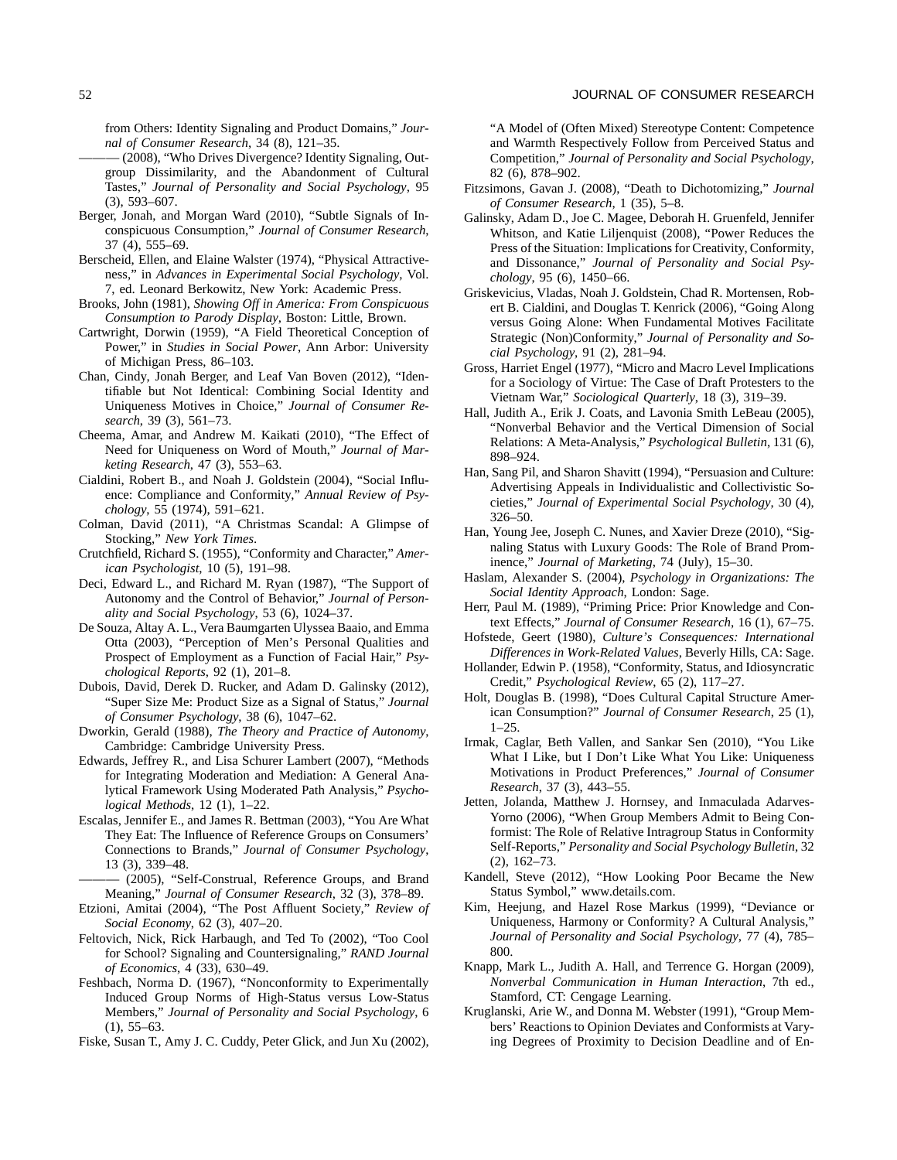from Others: Identity Signaling and Product Domains," *Journal of Consumer Research*, 34 (8), 121–35.

- (2008), "Who Drives Divergence? Identity Signaling, Outgroup Dissimilarity, and the Abandonment of Cultural Tastes," *Journal of Personality and Social Psychology*, 95 (3), 593–607.
- Berger, Jonah, and Morgan Ward (2010), "Subtle Signals of Inconspicuous Consumption," *Journal of Consumer Research*, 37 (4), 555–69.
- Berscheid, Ellen, and Elaine Walster (1974), "Physical Attractiveness," in *Advances in Experimental Social Psychology*, Vol. 7, ed. Leonard Berkowitz, New York: Academic Press.
- Brooks, John (1981), *Showing Off in America: From Conspicuous Consumption to Parody Display*, Boston: Little, Brown.
- Cartwright, Dorwin (1959), "A Field Theoretical Conception of Power," in *Studies in Social Power*, Ann Arbor: University of Michigan Press, 86–103.
- Chan, Cindy, Jonah Berger, and Leaf Van Boven (2012), "Identifiable but Not Identical: Combining Social Identity and Uniqueness Motives in Choice," *Journal of Consumer Research*, 39 (3), 561–73.
- Cheema, Amar, and Andrew M. Kaikati (2010), "The Effect of Need for Uniqueness on Word of Mouth," *Journal of Marketing Research*, 47 (3), 553–63.
- Cialdini, Robert B., and Noah J. Goldstein (2004), "Social Influence: Compliance and Conformity," *Annual Review of Psychology*, 55 (1974), 591–621.
- Colman, David (2011), "A Christmas Scandal: A Glimpse of Stocking," *New York Times*.
- Crutchfield, Richard S. (1955), "Conformity and Character," *American Psychologist*, 10 (5), 191–98.
- Deci, Edward L., and Richard M. Ryan (1987), "The Support of Autonomy and the Control of Behavior," *Journal of Personality and Social Psychology*, 53 (6), 1024–37.
- De Souza, Altay A. L., Vera Baumgarten Ulyssea Baaio, and Emma Otta (2003), "Perception of Men's Personal Qualities and Prospect of Employment as a Function of Facial Hair," *Psychological Reports*, 92 (1), 201–8.
- Dubois, David, Derek D. Rucker, and Adam D. Galinsky (2012), "Super Size Me: Product Size as a Signal of Status," *Journal of Consumer Psychology*, 38 (6), 1047–62.
- Dworkin, Gerald (1988), *The Theory and Practice of Autonomy*, Cambridge: Cambridge University Press.
- Edwards, Jeffrey R., and Lisa Schurer Lambert (2007), "Methods for Integrating Moderation and Mediation: A General Analytical Framework Using Moderated Path Analysis," *Psychological Methods*, 12 (1), 1–22.
- Escalas, Jennifer E., and James R. Bettman (2003), "You Are What They Eat: The Influence of Reference Groups on Consumers' Connections to Brands," *Journal of Consumer Psychology*, 13 (3), 339–48.
- (2005), "Self-Construal, Reference Groups, and Brand Meaning," *Journal of Consumer Research*, 32 (3), 378–89.
- Etzioni, Amitai (2004), "The Post Affluent Society," *Review of Social Economy*, 62 (3), 407–20.
- Feltovich, Nick, Rick Harbaugh, and Ted To (2002), "Too Cool for School? Signaling and Countersignaling," *RAND Journal of Economics*, 4 (33), 630–49.
- Feshbach, Norma D. (1967), "Nonconformity to Experimentally Induced Group Norms of High-Status versus Low-Status Members," *Journal of Personality and Social Psychology*, 6  $(1), 55-63.$
- Fiske, Susan T., Amy J. C. Cuddy, Peter Glick, and Jun Xu (2002),

"A Model of (Often Mixed) Stereotype Content: Competence and Warmth Respectively Follow from Perceived Status and Competition," *Journal of Personality and Social Psychology*, 82 (6), 878–902.

- Fitzsimons, Gavan J. (2008), "Death to Dichotomizing," *Journal of Consumer Research*, 1 (35), 5–8.
- Galinsky, Adam D., Joe C. Magee, Deborah H. Gruenfeld, Jennifer Whitson, and Katie Liljenquist (2008), "Power Reduces the Press of the Situation: Implications for Creativity, Conformity, and Dissonance," *Journal of Personality and Social Psychology*, 95 (6), 1450–66.
- Griskevicius, Vladas, Noah J. Goldstein, Chad R. Mortensen, Robert B. Cialdini, and Douglas T. Kenrick (2006), "Going Along versus Going Alone: When Fundamental Motives Facilitate Strategic (Non)Conformity," *Journal of Personality and Social Psychology*, 91 (2), 281–94.
- Gross, Harriet Engel (1977), "Micro and Macro Level Implications for a Sociology of Virtue: The Case of Draft Protesters to the Vietnam War," *Sociological Quarterly*, 18 (3), 319–39.
- Hall, Judith A., Erik J. Coats, and Lavonia Smith LeBeau (2005), "Nonverbal Behavior and the Vertical Dimension of Social Relations: A Meta-Analysis," *Psychological Bulletin*, 131 (6), 898–924.
- Han, Sang Pil, and Sharon Shavitt (1994), "Persuasion and Culture: Advertising Appeals in Individualistic and Collectivistic Societies," *Journal of Experimental Social Psychology*, 30 (4), 326–50.
- Han, Young Jee, Joseph C. Nunes, and Xavier Dreze (2010), "Signaling Status with Luxury Goods: The Role of Brand Prominence," *Journal of Marketing*, 74 (July), 15–30.
- Haslam, Alexander S. (2004), *Psychology in Organizations: The Social Identity Approach*, London: Sage.
- Herr, Paul M. (1989), "Priming Price: Prior Knowledge and Context Effects," *Journal of Consumer Research*, 16 (1), 67–75.
- Hofstede, Geert (1980), *Culture's Consequences: International Differences in Work-Related Values*, Beverly Hills, CA: Sage.
- Hollander, Edwin P. (1958), "Conformity, Status, and Idiosyncratic Credit," *Psychological Review*, 65 (2), 117–27.
- Holt, Douglas B. (1998), "Does Cultural Capital Structure American Consumption?" *Journal of Consumer Research*, 25 (1), 1–25.
- Irmak, Caglar, Beth Vallen, and Sankar Sen (2010), "You Like What I Like, but I Don't Like What You Like: Uniqueness Motivations in Product Preferences," *Journal of Consumer Research*, 37 (3), 443–55.
- Jetten, Jolanda, Matthew J. Hornsey, and Inmaculada Adarves-Yorno (2006), "When Group Members Admit to Being Conformist: The Role of Relative Intragroup Status in Conformity Self-Reports," *Personality and Social Psychology Bulletin*, 32 (2), 162–73.
- Kandell, Steve (2012), "How Looking Poor Became the New Status Symbol," [www.details.com.](http://www.details.com)
- Kim, Heejung, and Hazel Rose Markus (1999), "Deviance or Uniqueness, Harmony or Conformity? A Cultural Analysis," *Journal of Personality and Social Psychology*, 77 (4), 785– 800.
- Knapp, Mark L., Judith A. Hall, and Terrence G. Horgan (2009), *Nonverbal Communication in Human Interaction*, 7th ed., Stamford, CT: Cengage Learning.
- Kruglanski, Arie W., and Donna M. Webster (1991), "Group Members' Reactions to Opinion Deviates and Conformists at Varying Degrees of Proximity to Decision Deadline and of En-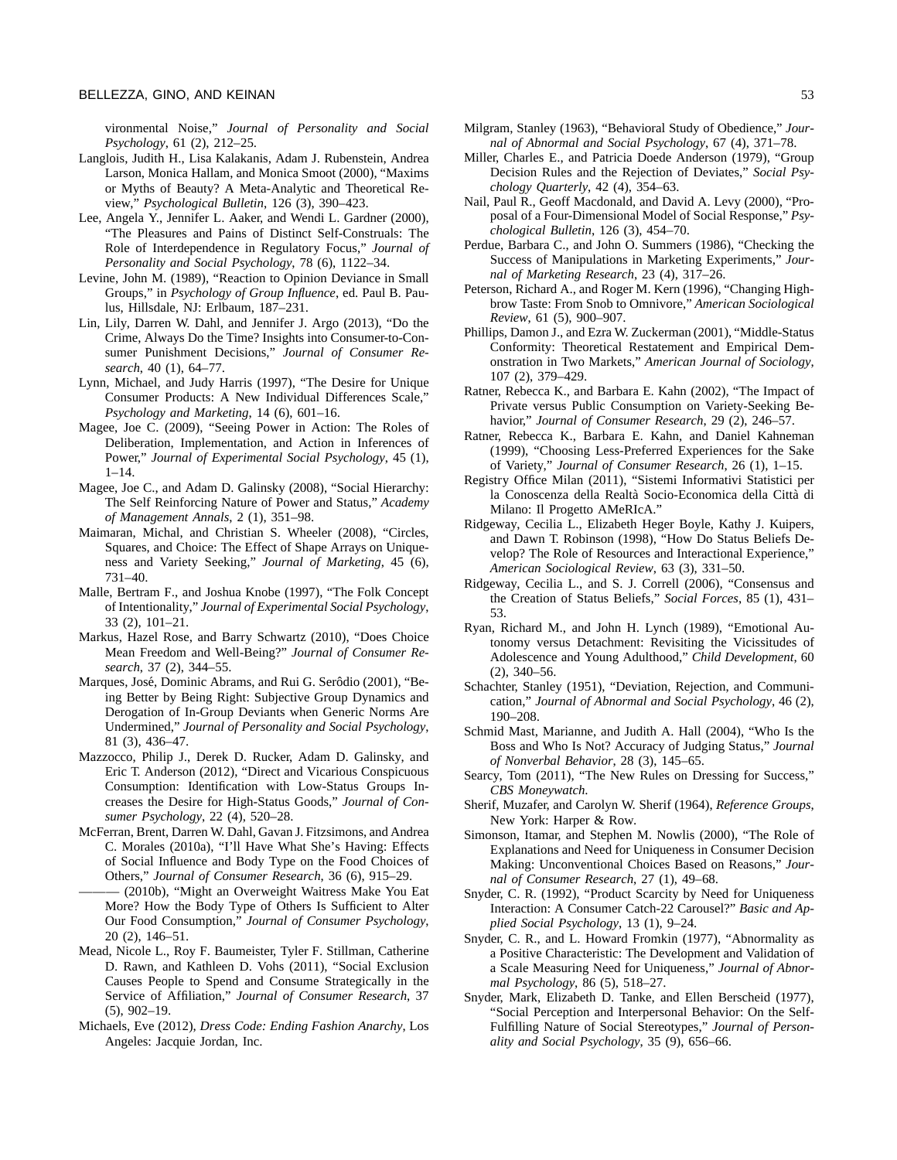vironmental Noise," *Journal of Personality and Social Psychology*, 61 (2), 212–25.

- Langlois, Judith H., Lisa Kalakanis, Adam J. Rubenstein, Andrea Larson, Monica Hallam, and Monica Smoot (2000), "Maxims or Myths of Beauty? A Meta-Analytic and Theoretical Review," *Psychological Bulletin*, 126 (3), 390–423.
- Lee, Angela Y., Jennifer L. Aaker, and Wendi L. Gardner (2000), "The Pleasures and Pains of Distinct Self-Construals: The Role of Interdependence in Regulatory Focus," *Journal of Personality and Social Psychology*, 78 (6), 1122–34.
- Levine, John M. (1989), "Reaction to Opinion Deviance in Small Groups," in *Psychology of Group Influence*, ed. Paul B. Paulus, Hillsdale, NJ: Erlbaum, 187–231.
- Lin, Lily, Darren W. Dahl, and Jennifer J. Argo (2013), "Do the Crime, Always Do the Time? Insights into Consumer-to-Consumer Punishment Decisions," *Journal of Consumer Research*, 40 (1), 64–77.
- Lynn, Michael, and Judy Harris (1997), "The Desire for Unique Consumer Products: A New Individual Differences Scale," *Psychology and Marketing*, 14 (6), 601–16.
- Magee, Joe C. (2009), "Seeing Power in Action: The Roles of Deliberation, Implementation, and Action in Inferences of Power," *Journal of Experimental Social Psychology*, 45 (1),  $1 - 14$ .
- Magee, Joe C., and Adam D. Galinsky (2008), "Social Hierarchy: The Self Reinforcing Nature of Power and Status," *Academy of Management Annals*, 2 (1), 351–98.
- Maimaran, Michal, and Christian S. Wheeler (2008), "Circles, Squares, and Choice: The Effect of Shape Arrays on Uniqueness and Variety Seeking," *Journal of Marketing*, 45 (6), 731–40.
- Malle, Bertram F., and Joshua Knobe (1997), "The Folk Concept of Intentionality," *Journal of Experimental Social Psychology*, 33 (2), 101–21.
- Markus, Hazel Rose, and Barry Schwartz (2010), "Does Choice Mean Freedom and Well-Being?" *Journal of Consumer Research*, 37 (2), 344–55.
- Marques, José, Dominic Abrams, and Rui G. Serôdio (2001), "Being Better by Being Right: Subjective Group Dynamics and Derogation of In-Group Deviants when Generic Norms Are Undermined," *Journal of Personality and Social Psychology*, 81 (3), 436–47.
- Mazzocco, Philip J., Derek D. Rucker, Adam D. Galinsky, and Eric T. Anderson (2012), "Direct and Vicarious Conspicuous Consumption: Identification with Low-Status Groups Increases the Desire for High-Status Goods," *Journal of Consumer Psychology*, 22 (4), 520–28.
- McFerran, Brent, Darren W. Dahl, Gavan J. Fitzsimons, and Andrea C. Morales (2010a), "I'll Have What She's Having: Effects of Social Influence and Body Type on the Food Choices of Others," *Journal of Consumer Research*, 36 (6), 915–29.
	- (2010b), "Might an Overweight Waitress Make You Eat More? How the Body Type of Others Is Sufficient to Alter Our Food Consumption," *Journal of Consumer Psychology*, 20 (2), 146–51.
- Mead, Nicole L., Roy F. Baumeister, Tyler F. Stillman, Catherine D. Rawn, and Kathleen D. Vohs (2011), "Social Exclusion Causes People to Spend and Consume Strategically in the Service of Affiliation," *Journal of Consumer Research*, 37 (5), 902–19.
- Michaels, Eve (2012), *Dress Code: Ending Fashion Anarchy*, Los Angeles: Jacquie Jordan, Inc.
- Milgram, Stanley (1963), "Behavioral Study of Obedience," *Journal of Abnormal and Social Psychology*, 67 (4), 371–78.
- Miller, Charles E., and Patricia Doede Anderson (1979), "Group Decision Rules and the Rejection of Deviates," *Social Psychology Quarterly*, 42 (4), 354–63.
- Nail, Paul R., Geoff Macdonald, and David A. Levy (2000), "Proposal of a Four-Dimensional Model of Social Response," *Psychological Bulletin*, 126 (3), 454–70.
- Perdue, Barbara C., and John O. Summers (1986), "Checking the Success of Manipulations in Marketing Experiments," *Journal of Marketing Research*, 23 (4), 317–26.
- Peterson, Richard A., and Roger M. Kern (1996), "Changing Highbrow Taste: From Snob to Omnivore," *American Sociological Review*, 61 (5), 900–907.
- Phillips, Damon J., and Ezra W. Zuckerman (2001), "Middle-Status Conformity: Theoretical Restatement and Empirical Demonstration in Two Markets," *American Journal of Sociology*, 107 (2), 379–429.
- Ratner, Rebecca K., and Barbara E. Kahn (2002), "The Impact of Private versus Public Consumption on Variety-Seeking Behavior," *Journal of Consumer Research*, 29 (2), 246–57.
- Ratner, Rebecca K., Barbara E. Kahn, and Daniel Kahneman (1999), "Choosing Less-Preferred Experiences for the Sake of Variety," *Journal of Consumer Research*, 26 (1), 1–15.
- Registry Office Milan (2011), "Sistemi Informativi Statistici per la Conoscenza della Realtà Socio-Economica della Città di Milano: Il Progetto AMeRIcA."
- Ridgeway, Cecilia L., Elizabeth Heger Boyle, Kathy J. Kuipers, and Dawn T. Robinson (1998), "How Do Status Beliefs Develop? The Role of Resources and Interactional Experience," *American Sociological Review*, 63 (3), 331–50.
- Ridgeway, Cecilia L., and S. J. Correll (2006), "Consensus and the Creation of Status Beliefs," *Social Forces*, 85 (1), 431– 53.
- Ryan, Richard M., and John H. Lynch (1989), "Emotional Autonomy versus Detachment: Revisiting the Vicissitudes of Adolescence and Young Adulthood," *Child Development*, 60 (2), 340–56.
- Schachter, Stanley (1951), "Deviation, Rejection, and Communication," *Journal of Abnormal and Social Psychology*, 46 (2), 190–208.
- Schmid Mast, Marianne, and Judith A. Hall (2004), "Who Is the Boss and Who Is Not? Accuracy of Judging Status," *Journal of Nonverbal Behavior*, 28 (3), 145–65.
- Searcy, Tom (2011), "The New Rules on Dressing for Success," *CBS Moneywatch*.
- Sherif, Muzafer, and Carolyn W. Sherif (1964), *Reference Groups*, New York: Harper & Row.
- Simonson, Itamar, and Stephen M. Nowlis (2000), "The Role of Explanations and Need for Uniqueness in Consumer Decision Making: Unconventional Choices Based on Reasons," *Journal of Consumer Research*, 27 (1), 49–68.
- Snyder, C. R. (1992), "Product Scarcity by Need for Uniqueness Interaction: A Consumer Catch-22 Carousel?" *Basic and Applied Social Psychology*, 13 (1), 9–24.
- Snyder, C. R., and L. Howard Fromkin (1977), "Abnormality as a Positive Characteristic: The Development and Validation of a Scale Measuring Need for Uniqueness," *Journal of Abnormal Psychology*, 86 (5), 518–27.
- Snyder, Mark, Elizabeth D. Tanke, and Ellen Berscheid (1977), "Social Perception and Interpersonal Behavior: On the Self-Fulfilling Nature of Social Stereotypes," *Journal of Personality and Social Psychology*, 35 (9), 656–66.